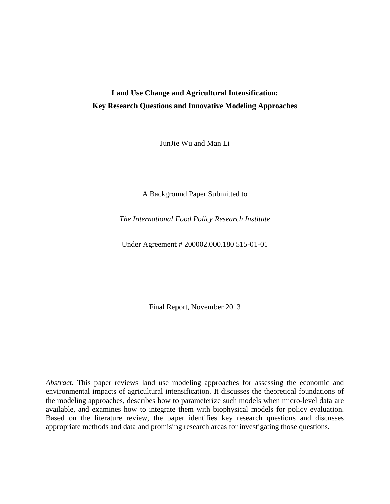# **Land Use Change and Agricultural Intensification: Key Research Questions and Innovative Modeling Approaches**

JunJie Wu and Man Li

A Background Paper Submitted to

*The International Food Policy Research Institute* 

Under Agreement # 200002.000.180 515-01-01

Final Report, November 2013

*Abstract.* This paper reviews land use modeling approaches for assessing the economic and environmental impacts of agricultural intensification. It discusses the theoretical foundations of the modeling approaches, describes how to parameterize such models when micro-level data are available, and examines how to integrate them with biophysical models for policy evaluation. Based on the literature review, the paper identifies key research questions and discusses appropriate methods and data and promising research areas for investigating those questions.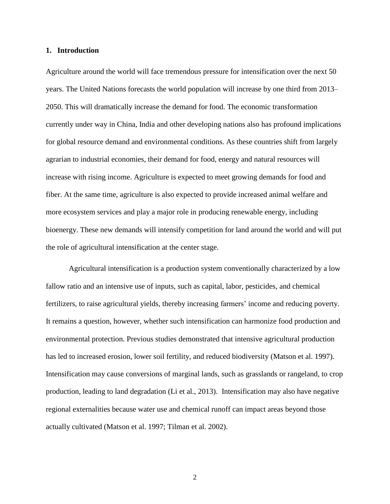#### **1. Introduction**

Agriculture around the world will face tremendous pressure for intensification over the next 50 years. The United Nations forecasts the world population will increase by one third from 2013– 2050. This will dramatically increase the demand for food. The economic transformation currently under way in China, India and other developing nations also has profound implications for global resource demand and environmental conditions. As these countries shift from largely agrarian to industrial economies, their demand for food, energy and natural resources will increase with rising income. Agriculture is expected to meet growing demands for food and fiber. At the same time, agriculture is also expected to provide increased animal welfare and more ecosystem services and play a major role in producing renewable energy, including bioenergy. These new demands will intensify competition for land around the world and will put the role of agricultural intensification at the center stage.

Agricultural intensification is a production system conventionally characterized by a low fallow ratio and an intensive use of inputs, such as capital, labor, pesticides, and chemical fertilizers, to raise agricultural yields, thereby increasing farmers' income and reducing poverty. It remains a question, however, whether such intensification can harmonize food production and environmental protection. Previous studies demonstrated that intensive agricultural production has led to increased erosion, lower soil fertility, and reduced biodiversity (Matson et al. 1997). Intensification may cause conversions of marginal lands, such as grasslands or rangeland, to crop production, leading to land degradation (Li et al., 2013). Intensification may also have negative regional externalities because water use and chemical runoff can impact areas beyond those actually cultivated (Matson et al. 1997; Tilman et al. 2002).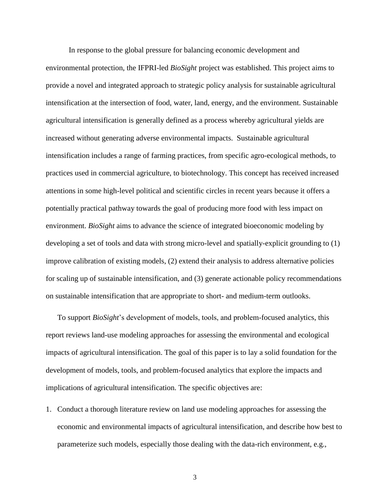In response to the global pressure for balancing economic development and environmental protection, the IFPRI-led *BioSight* project was established. This project aims to provide a novel and integrated approach to strategic policy analysis for sustainable agricultural intensification at the intersection of food, water, land, energy, and the environment. Sustainable agricultural intensification is generally defined as a process whereby agricultural yields are increased without generating adverse environmental impacts. Sustainable agricultural intensification includes a range of farming practices, from specific agro-ecological methods, to practices used in commercial agriculture, to biotechnology. This concept has received increased attentions in some high-level political and scientific circles in recent years because it offers a potentially practical pathway towards the goal of producing more food with less impact on environment. *BioSight* aims to advance the science of integrated bioeconomic modeling by developing a set of tools and data with strong micro-level and spatially-explicit grounding to (1) improve calibration of existing models, (2) extend their analysis to address alternative policies for scaling up of sustainable intensification, and (3) generate actionable policy recommendations on sustainable intensification that are appropriate to short- and medium-term outlooks.

To support *BioSight*'s development of models, tools, and problem-focused analytics, this report reviews land-use modeling approaches for assessing the environmental and ecological impacts of agricultural intensification. The goal of this paper is to lay a solid foundation for the development of models, tools, and problem-focused analytics that explore the impacts and implications of agricultural intensification. The specific objectives are:

1. Conduct a thorough literature review on land use modeling approaches for assessing the economic and environmental impacts of agricultural intensification, and describe how best to parameterize such models, especially those dealing with the data-rich environment, e.g.,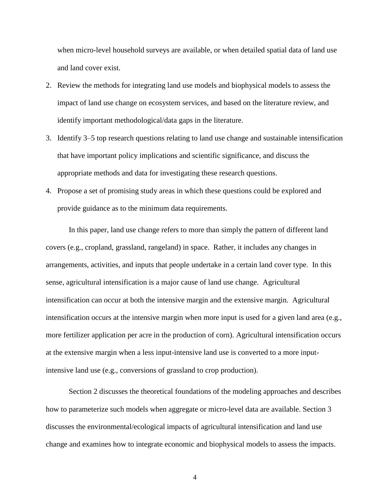when micro-level household surveys are available, or when detailed spatial data of land use and land cover exist.

- 2. Review the methods for integrating land use models and biophysical models to assess the impact of land use change on ecosystem services, and based on the literature review, and identify important methodological/data gaps in the literature.
- 3. Identify 3–5 top research questions relating to land use change and sustainable intensification that have important policy implications and scientific significance, and discuss the appropriate methods and data for investigating these research questions.
- 4. Propose a set of promising study areas in which these questions could be explored and provide guidance as to the minimum data requirements.

In this paper, land use change refers to more than simply the pattern of different land covers (e.g., cropland, grassland, rangeland) in space. Rather, it includes any changes in arrangements, activities, and inputs that people undertake in a certain land cover type. In this sense, agricultural intensification is a major cause of land use change. Agricultural intensification can occur at both the intensive margin and the extensive margin. Agricultural intensification occurs at the intensive margin when more input is used for a given land area (e.g., more fertilizer application per acre in the production of corn). Agricultural intensification occurs at the extensive margin when a less input-intensive land use is converted to a more inputintensive land use (e.g., conversions of grassland to crop production).

Section 2 discusses the theoretical foundations of the modeling approaches and describes how to parameterize such models when aggregate or micro-level data are available. Section 3 discusses the environmental/ecological impacts of agricultural intensification and land use change and examines how to integrate economic and biophysical models to assess the impacts.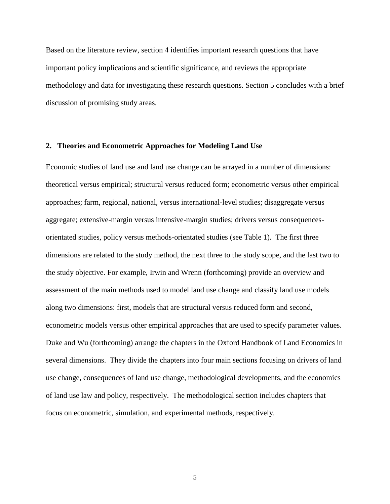Based on the literature review, section 4 identifies important research questions that have important policy implications and scientific significance, and reviews the appropriate methodology and data for investigating these research questions. Section 5 concludes with a brief discussion of promising study areas.

#### **2. Theories and Econometric Approaches for Modeling Land Use**

Economic studies of land use and land use change can be arrayed in a number of dimensions: theoretical versus empirical; structural versus reduced form; econometric versus other empirical approaches; farm, regional, national, versus international-level studies; disaggregate versus aggregate; extensive-margin versus intensive-margin studies; drivers versus consequencesorientated studies, policy versus methods-orientated studies (see [Table 1\)](#page-5-0). The first three dimensions are related to the study method, the next three to the study scope, and the last two to the study objective. For example, Irwin and Wrenn (forthcoming) provide an overview and assessment of the main methods used to model land use change and classify land use models along two dimensions: first, models that are structural versus reduced form and second, econometric models versus other empirical approaches that are used to specify parameter values. Duke and Wu (forthcoming) arrange the chapters in the Oxford Handbook of Land Economics in several dimensions. They divide the chapters into four main sections focusing on drivers of land use change, consequences of land use change, methodological developments, and the economics of land use law and policy, respectively. The methodological section includes chapters that focus on econometric, simulation, and experimental methods, respectively.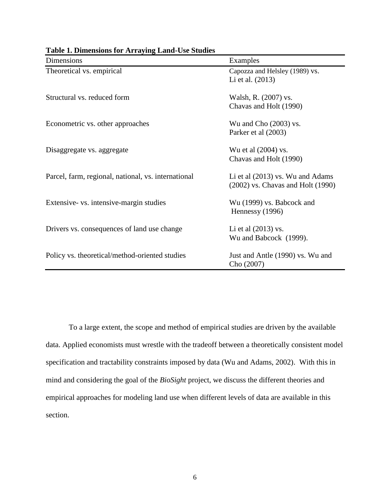| Dimensions                                          | Examples                                                                    |
|-----------------------------------------------------|-----------------------------------------------------------------------------|
| Theoretical vs. empirical                           | Capozza and Helsley (1989) vs.<br>Li et al. (2013)                          |
| Structural vs. reduced form                         | Walsh, R. (2007) vs.<br>Chavas and Holt (1990)                              |
| Econometric vs. other approaches                    | Wu and Cho (2003) vs.<br>Parker et al (2003)                                |
| Disaggregate vs. aggregate                          | Wu et al (2004) vs.<br>Chavas and Holt (1990)                               |
| Parcel, farm, regional, national, vs. international | Li et al $(2013)$ vs. Wu and Adams<br>$(2002)$ vs. Chavas and Holt $(1990)$ |
| Extensive- vs. intensive-margin studies             | Wu (1999) vs. Babcock and<br>Hennessy (1996)                                |
| Drivers vs. consequences of land use change         | Li et al $(2013)$ vs.<br>Wu and Babcock (1999).                             |
| Policy vs. theoretical/method-oriented studies      | Just and Antle (1990) vs. Wu and<br>Cho (2007)                              |

<span id="page-5-0"></span>**Table 1. Dimensions for Arraying Land-Use Studies**

To a large extent, the scope and method of empirical studies are driven by the available data. Applied economists must wrestle with the tradeoff between a theoretically consistent model specification and tractability constraints imposed by data (Wu and Adams, 2002). With this in mind and considering the goal of the *BioSight* project, we discuss the different theories and empirical approaches for modeling land use when different levels of data are available in this section.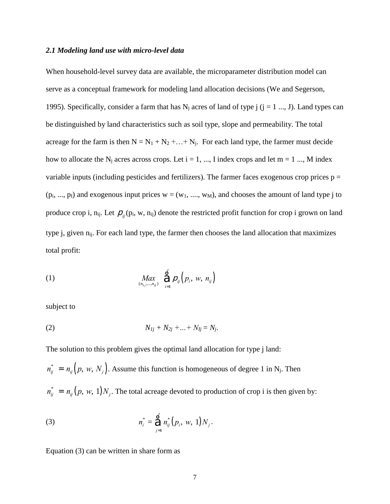#### *2.1 Modeling land use with micro-level data*

When household-level survey data are available, the microparameter distribution model can serve as a conceptual framework for modeling land allocation decisions (We and Segerson, 1995). Specifically, consider a farm that has  $N_i$  acres of land of type j (j = 1 ..., J). Land types can be distinguished by land characteristics such as soil type, slope and permeability. The total acreage for the farm is then  $N = N_1 + N_2 + ... + N_j$ . For each land type, the farmer must decide how to allocate the N<sub>j</sub> acres across crops. Let  $i = 1, ..., I$  index crops and let  $m = 1 ..., M$  index variable inputs (including pesticides and fertilizers). The farmer faces exogenous crop prices  $p =$  $(p_i, ..., p_l)$  and exogenous input prices  $w = (w_1, ..., w_M)$ , and chooses the amount of land type j to produce crop i,  $n_{ij}$ . Let  $p_{ij}(p_i, w, n_{ij})$  denote the restricted profit function for crop i grown on land type j, given  $n_{ii}$ . For each land type, the farmer then chooses the land allocation that maximizes total profit:

(1) 
$$
\underset{(n_1,\ldots,n_{ij})}{Max} \quad \overset{1}{\hat{\Theta}} \mathcal{P}_{ij} \left( p_i, w, n_{ij} \right)
$$

subject to

(2) 
$$
N_{1j} + N_{2j} + ... + N_{lj} = N_j.
$$

The solution to this problem gives the optimal land allocation for type j land:

 $n_{ij}^* = n_{ij} (p, w, N_j)$ . Assume this function is homogeneous of degree 1 in N<sub>j</sub>. Then  $n_{ij}^*$  =  $n_{ij}$   $(p, w, 1)N_j$ . The total acreage devoted to production of crop i is then given by:

(3) 
$$
n_i^* = \bigoplus_{j=1}^J n_{ij}^* (p_i, w, 1) N_j.
$$

Equation (3) can be written in share form as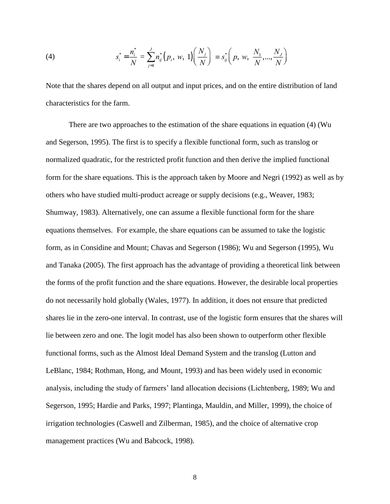(4) 
$$
s_i^* = \frac{n_i^*}{N} = \sum_{j=1}^J n_{ij}^* (p_i, w, 1) \left( \frac{N_j}{N} \right) \equiv s_{ij}^* \left( p, w, \frac{N_1}{N}, ..., \frac{N_J}{N} \right)
$$

Note that the shares depend on all output and input prices, and on the entire distribution of land characteristics for the farm.

There are two approaches to the estimation of the share equations in equation (4) (Wu and Segerson, 1995). The first is to specify a flexible functional form, such as translog or normalized quadratic, for the restricted profit function and then derive the implied functional form for the share equations. This is the approach taken by Moore and Negri (1992) as well as by others who have studied multi-product acreage or supply decisions (e.g., Weaver, 1983; Shumway, 1983). Alternatively, one can assume a flexible functional form for the share equations themselves. For example, the share equations can be assumed to take the logistic form, as in Considine and Mount; Chavas and Segerson (1986); Wu and Segerson (1995), Wu and Tanaka (2005). The first approach has the advantage of providing a theoretical link between the forms of the profit function and the share equations. However, the desirable local properties do not necessarily hold globally (Wales, 1977). In addition, it does not ensure that predicted shares lie in the zero-one interval. In contrast, use of the logistic form ensures that the shares will lie between zero and one. The logit model has also been shown to outperform other flexible functional forms, such as the Almost Ideal Demand System and the translog (Lutton and LeBlanc, 1984; Rothman, Hong, and Mount, 1993) and has been widely used in economic analysis, including the study of farmers' land allocation decisions (Lichtenberg, 1989; Wu and Segerson, 1995; Hardie and Parks, 1997; Plantinga, Mauldin, and Miller, 1999), the choice of irrigation technologies (Caswell and Zilberman, 1985), and the choice of alternative crop management practices (Wu and Babcock, 1998).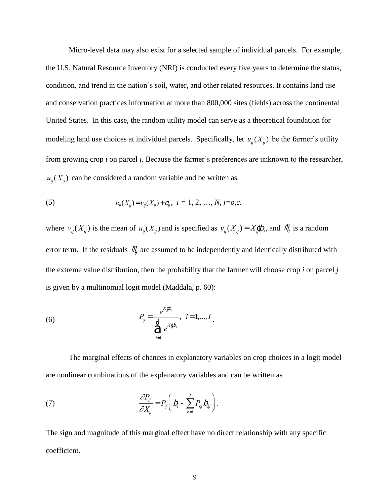Micro-level data may also exist for a selected sample of individual parcels. For example, the U.S. Natural Resource Inventory (NRI) is conducted every five years to determine the status, condition, and trend in the nation's soil, water, and other related resources. It contains land use and conservation practices information at more than 800,000 sites (fields) across the continental United States. In this case, the random utility model can serve as a theoretical foundation for modeling land use choices at individual parcels. Specifically, let  $u_{ij}(X_{ij})$  be the farmer's utility from growing crop *i* on parcel *j*. Because the farmer's preferences are unknown to the researcher,  $u_{ij}(X_{ij})$  can be considered a random variable and be written as

(5) 
$$
u_{ij}(X_{ij}) = v_{ij}(X_{ij}) + e_{ij}, \quad i = 1, 2, ..., N, j = o, c.
$$

where  $v_{ij}(X_{ij})$  is the mean of  $u_{ij}(X_{ij})$  and is specified as  $v_{ij}(X_{ij}) = X_{ij}^c b_i$ , and  $M_i^c$  is a random error term. If the residuals  $\mathcal{M}_j$  are assumed to be independently and identically distributed with the extreme value distribution, then the probability that the farmer will choose crop *i* on parcel *j*  is given by a multinomial logit model (Maddala, p. 60):

(6) 
$$
P_{ij} = \frac{e^{X_{ij}^c b_i}}{\sum_{i=1}^l e^{X_{ij}^c b_k}}, \quad i = 1,...,I
$$

The marginal effects of chances in explanatory variables on crop choices in a logit model are nonlinear combinations of the explanatory variables and can be written as

(7) 
$$
\frac{\partial P_{ij}}{\partial X_{ij}} = P_{ij} \bigg( D_i - \sum_{k=1}^I P_{kj} D_{kj} \bigg).
$$

The sign and magnitude of this marginal effect have no direct relationship with any specific coefficient.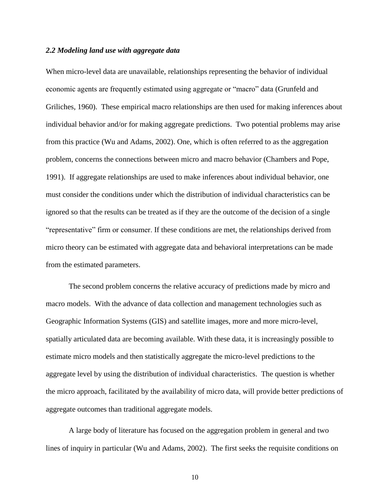#### *2.2 Modeling land use with aggregate data*

When micro-level data are unavailable, relationships representing the behavior of individual economic agents are frequently estimated using aggregate or "macro" data (Grunfeld and Griliches, 1960). These empirical macro relationships are then used for making inferences about individual behavior and/or for making aggregate predictions. Two potential problems may arise from this practice (Wu and Adams, 2002). One, which is often referred to as the aggregation problem, concerns the connections between micro and macro behavior (Chambers and Pope, 1991). If aggregate relationships are used to make inferences about individual behavior, one must consider the conditions under which the distribution of individual characteristics can be ignored so that the results can be treated as if they are the outcome of the decision of a single "representative" firm or consumer. If these conditions are met, the relationships derived from micro theory can be estimated with aggregate data and behavioral interpretations can be made from the estimated parameters.

The second problem concerns the relative accuracy of predictions made by micro and macro models. With the advance of data collection and management technologies such as Geographic Information Systems (GIS) and satellite images, more and more micro-level, spatially articulated data are becoming available. With these data, it is increasingly possible to estimate micro models and then statistically aggregate the micro-level predictions to the aggregate level by using the distribution of individual characteristics. The question is whether the micro approach, facilitated by the availability of micro data, will provide better predictions of aggregate outcomes than traditional aggregate models.

A large body of literature has focused on the aggregation problem in general and two lines of inquiry in particular (Wu and Adams, 2002). The first seeks the requisite conditions on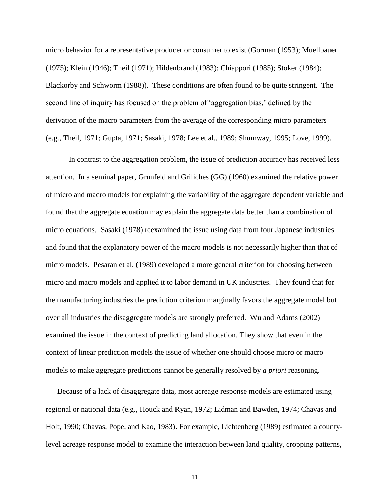micro behavior for a representative producer or consumer to exist (Gorman (1953); Muellbauer (1975); Klein (1946); Theil (1971); Hildenbrand (1983); Chiappori (1985); Stoker (1984); Blackorby and Schworm (1988)). These conditions are often found to be quite stringent. The second line of inquiry has focused on the problem of 'aggregation bias,' defined by the derivation of the macro parameters from the average of the corresponding micro parameters (e.g., Theil, 1971; Gupta, 1971; Sasaki, 1978; Lee et al., 1989; Shumway, 1995; Love, 1999).

In contrast to the aggregation problem, the issue of prediction accuracy has received less attention. In a seminal paper, Grunfeld and Griliches (GG) (1960) examined the relative power of micro and macro models for explaining the variability of the aggregate dependent variable and found that the aggregate equation may explain the aggregate data better than a combination of micro equations. Sasaki (1978) reexamined the issue using data from four Japanese industries and found that the explanatory power of the macro models is not necessarily higher than that of micro models. Pesaran et al. (1989) developed a more general criterion for choosing between micro and macro models and applied it to labor demand in UK industries. They found that for the manufacturing industries the prediction criterion marginally favors the aggregate model but over all industries the disaggregate models are strongly preferred. Wu and Adams (2002) examined the issue in the context of predicting land allocation. They show that even in the context of linear prediction models the issue of whether one should choose micro or macro models to make aggregate predictions cannot be generally resolved by *a priori* reasoning.

Because of a lack of disaggregate data, most acreage response models are estimated using regional or national data (e.g., Houck and Ryan, 1972; Lidman and Bawden, 1974; Chavas and Holt, 1990; Chavas, Pope, and Kao, 1983). For example, Lichtenberg (1989) estimated a countylevel acreage response model to examine the interaction between land quality, cropping patterns,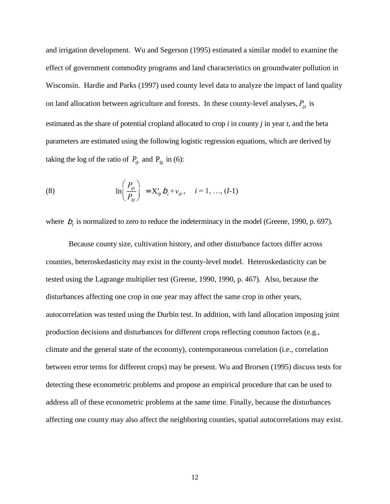and irrigation development. Wu and Segerson (1995) estimated a similar model to examine the effect of government commodity programs and land characteristics on groundwater pollution in Wisconsin. Hardie and Parks (1997) used county level data to analyze the impact of land quality on land allocation between agriculture and forests. In these county-level analyses,  $P_{ijt}$  is estimated as the share of potential cropland allocated to crop *i* in county *j* in year *t,* and the beta parameters are estimated using the following logistic regression equations, which are derived by taking the log of the ratio of  $P_{ijt}$  and  $P_{Ijt}$  in (6):

(8) 
$$
\ln\left(\frac{P_{ijt}}{P_{ijt}}\right) = X'_{ijt} b_i + v_{ijt}, \quad i = 1, ..., (I-1)
$$

where  $b<sub>I</sub>$  is normalized to zero to reduce the indeterminacy in the model (Greene, 1990, p. 697).

Because county size, cultivation history, and other disturbance factors differ across counties, heteroskedasticity may exist in the county-level model. Heteroskedasticity can be tested using the Lagrange multiplier test (Greene, 1990, 1990, p. 467). Also, because the disturbances affecting one crop in one year may affect the same crop in other years, autocorrelation was tested using the Durbin test. In addition, with land allocation imposing joint production decisions and disturbances for different crops reflecting common factors (e.g., climate and the general state of the economy), contemporaneous correlation (i.e., correlation between error terms for different crops) may be present. Wu and Brorsen (1995) discuss tests for detecting these econometric problems and propose an empirical procedure that can be used to address all of these econometric problems at the same time. Finally, because the disturbances affecting one county may also affect the neighboring counties, spatial autocorrelations may exist.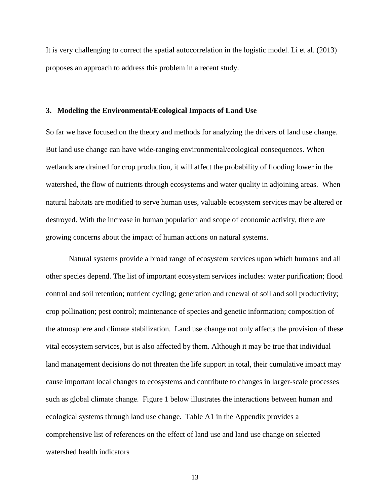It is very challenging to correct the spatial autocorrelation in the logistic model. Li et al. (2013) proposes an approach to address this problem in a recent study.

#### **3. Modeling the Environmental/Ecological Impacts of Land Use**

So far we have focused on the theory and methods for analyzing the drivers of land use change. But land use change can have wide-ranging environmental/ecological consequences. When wetlands are drained for crop production, it will affect the probability of flooding lower in the watershed, the flow of nutrients through ecosystems and water quality in adjoining areas. When natural habitats are modified to serve human uses, valuable ecosystem services may be altered or destroyed. With the increase in human population and scope of economic activity, there are growing concerns about the impact of human actions on natural systems.

Natural systems provide a broad range of ecosystem services upon which humans and all other species depend. The list of important ecosystem services includes: water purification; flood control and soil retention; nutrient cycling; generation and renewal of soil and soil productivity; crop pollination; pest control; maintenance of species and genetic information; composition of the atmosphere and climate stabilization. Land use change not only affects the provision of these vital ecosystem services, but is also affected by them. Although it may be true that individual land management decisions do not threaten the life support in total, their cumulative impact may cause important local changes to ecosystems and contribute to changes in larger-scale processes such as global climate change. [Figure 1](#page-13-0) below illustrates the interactions between human and ecological systems through land use change. [Table A1](#page-46-0) in the Appendix provides a comprehensive list of references on the effect of land use and land use change on selected watershed health indicators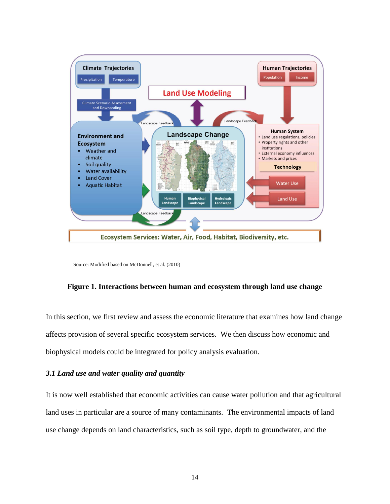

Source: Modified based on McDonnell, et al. (2010)

# <span id="page-13-0"></span>**Figure 1. Interactions between human and ecosystem through land use change**

In this section, we first review and assess the economic literature that examines how land change affects provision of several specific ecosystem services. We then discuss how economic and biophysical models could be integrated for policy analysis evaluation.

# *3.1 Land use and water quality and quantity*

It is now well established that economic activities can cause water pollution and that agricultural land uses in particular are a source of many contaminants. The environmental impacts of land use change depends on land characteristics, such as soil type, depth to groundwater, and the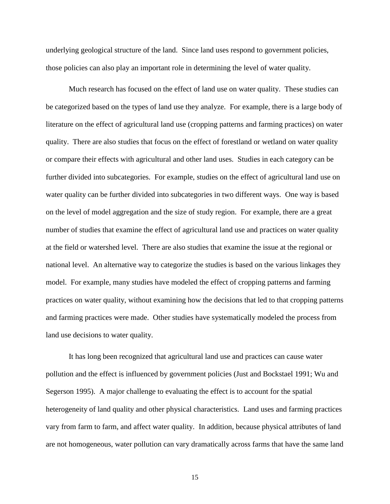underlying geological structure of the land. Since land uses respond to government policies, those policies can also play an important role in determining the level of water quality.

Much research has focused on the effect of land use on water quality. These studies can be categorized based on the types of land use they analyze. For example, there is a large body of literature on the effect of agricultural land use (cropping patterns and farming practices) on water quality. There are also studies that focus on the effect of forestland or wetland on water quality or compare their effects with agricultural and other land uses. Studies in each category can be further divided into subcategories. For example, studies on the effect of agricultural land use on water quality can be further divided into subcategories in two different ways. One way is based on the level of model aggregation and the size of study region. For example, there are a great number of studies that examine the effect of agricultural land use and practices on water quality at the field or watershed level. There are also studies that examine the issue at the regional or national level. An alternative way to categorize the studies is based on the various linkages they model. For example, many studies have modeled the effect of cropping patterns and farming practices on water quality, without examining how the decisions that led to that cropping patterns and farming practices were made. Other studies have systematically modeled the process from land use decisions to water quality.

It has long been recognized that agricultural land use and practices can cause water pollution and the effect is influenced by government policies (Just and Bockstael 1991; Wu and Segerson 1995). A major challenge to evaluating the effect is to account for the spatial heterogeneity of land quality and other physical characteristics. Land uses and farming practices vary from farm to farm, and affect water quality. In addition, because physical attributes of land are not homogeneous, water pollution can vary dramatically across farms that have the same land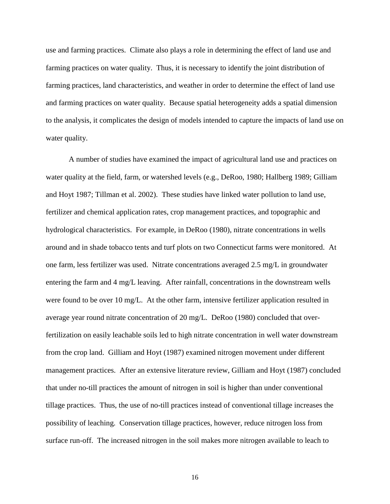use and farming practices. Climate also plays a role in determining the effect of land use and farming practices on water quality. Thus, it is necessary to identify the joint distribution of farming practices, land characteristics, and weather in order to determine the effect of land use and farming practices on water quality. Because spatial heterogeneity adds a spatial dimension to the analysis, it complicates the design of models intended to capture the impacts of land use on water quality.

A number of studies have examined the impact of agricultural land use and practices on water quality at the field, farm, or watershed levels (e.g., DeRoo, 1980; Hallberg 1989; Gilliam and Hoyt 1987; Tillman et al. 2002). These studies have linked water pollution to land use, fertilizer and chemical application rates, crop management practices, and topographic and hydrological characteristics. For example, in DeRoo (1980), nitrate concentrations in wells around and in shade tobacco tents and turf plots on two Connecticut farms were monitored. At one farm, less fertilizer was used. Nitrate concentrations averaged 2.5 mg/L in groundwater entering the farm and 4 mg/L leaving. After rainfall, concentrations in the downstream wells were found to be over 10 mg/L. At the other farm, intensive fertilizer application resulted in average year round nitrate concentration of 20 mg/L. DeRoo (1980) concluded that overfertilization on easily leachable soils led to high nitrate concentration in well water downstream from the crop land. Gilliam and Hoyt (1987) examined nitrogen movement under different management practices. After an extensive literature review, Gilliam and Hoyt (1987) concluded that under no-till practices the amount of nitrogen in soil is higher than under conventional tillage practices. Thus, the use of no-till practices instead of conventional tillage increases the possibility of leaching. Conservation tillage practices, however, reduce nitrogen loss from surface run-off. The increased nitrogen in the soil makes more nitrogen available to leach to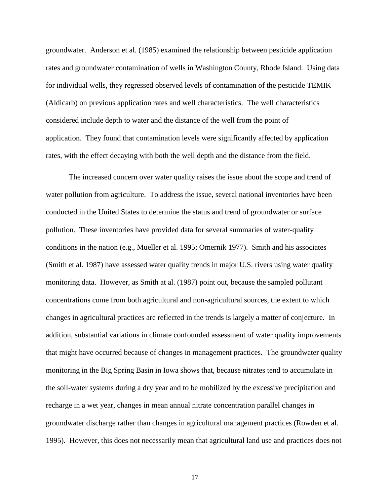groundwater. Anderson et al. (1985) examined the relationship between pesticide application rates and groundwater contamination of wells in Washington County, Rhode Island. Using data for individual wells, they regressed observed levels of contamination of the pesticide TEMIK (Aldicarb) on previous application rates and well characteristics. The well characteristics considered include depth to water and the distance of the well from the point of application. They found that contamination levels were significantly affected by application rates, with the effect decaying with both the well depth and the distance from the field.

The increased concern over water quality raises the issue about the scope and trend of water pollution from agriculture. To address the issue, several national inventories have been conducted in the United States to determine the status and trend of groundwater or surface pollution. These inventories have provided data for several summaries of water-quality conditions in the nation (e.g., Mueller et al. 1995; Omernik 1977). Smith and his associates (Smith et al. 1987) have assessed water quality trends in major U.S. rivers using water quality monitoring data. However, as Smith at al. (1987) point out, because the sampled pollutant concentrations come from both agricultural and non-agricultural sources, the extent to which changes in agricultural practices are reflected in the trends is largely a matter of conjecture. In addition, substantial variations in climate confounded assessment of water quality improvements that might have occurred because of changes in management practices. The groundwater quality monitoring in the Big Spring Basin in Iowa shows that, because nitrates tend to accumulate in the soil-water systems during a dry year and to be mobilized by the excessive precipitation and recharge in a wet year, changes in mean annual nitrate concentration parallel changes in groundwater discharge rather than changes in agricultural management practices (Rowden et al. 1995). However, this does not necessarily mean that agricultural land use and practices does not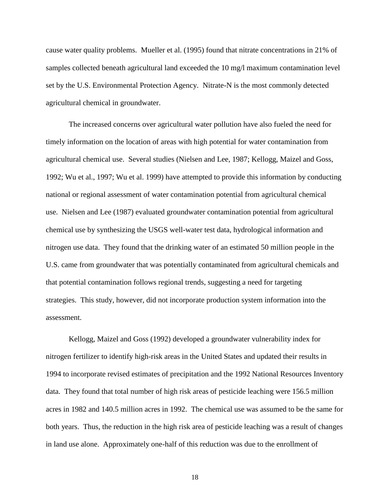cause water quality problems. Mueller et al. (1995) found that nitrate concentrations in 21% of samples collected beneath agricultural land exceeded the 10 mg/l maximum contamination level set by the U.S. Environmental Protection Agency. Nitrate-N is the most commonly detected agricultural chemical in groundwater.

The increased concerns over agricultural water pollution have also fueled the need for timely information on the location of areas with high potential for water contamination from agricultural chemical use. Several studies (Nielsen and Lee, 1987; Kellogg, Maizel and Goss, 1992; Wu et al., 1997; Wu et al. 1999) have attempted to provide this information by conducting national or regional assessment of water contamination potential from agricultural chemical use. Nielsen and Lee (1987) evaluated groundwater contamination potential from agricultural chemical use by synthesizing the USGS well-water test data, hydrological information and nitrogen use data. They found that the drinking water of an estimated 50 million people in the U.S. came from groundwater that was potentially contaminated from agricultural chemicals and that potential contamination follows regional trends, suggesting a need for targeting strategies. This study, however, did not incorporate production system information into the assessment.

Kellogg, Maizel and Goss (1992) developed a groundwater vulnerability index for nitrogen fertilizer to identify high-risk areas in the United States and updated their results in 1994 to incorporate revised estimates of precipitation and the 1992 National Resources Inventory data. They found that total number of high risk areas of pesticide leaching were 156.5 million acres in 1982 and 140.5 million acres in 1992. The chemical use was assumed to be the same for both years. Thus, the reduction in the high risk area of pesticide leaching was a result of changes in land use alone. Approximately one-half of this reduction was due to the enrollment of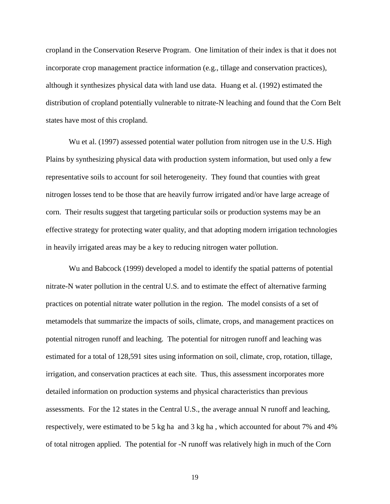cropland in the Conservation Reserve Program. One limitation of their index is that it does not incorporate crop management practice information (e.g., tillage and conservation practices), although it synthesizes physical data with land use data. Huang et al. (1992) estimated the distribution of cropland potentially vulnerable to nitrate-N leaching and found that the Corn Belt states have most of this cropland.

Wu et al. (1997) assessed potential water pollution from nitrogen use in the U.S. High Plains by synthesizing physical data with production system information, but used only a few representative soils to account for soil heterogeneity. They found that counties with great nitrogen losses tend to be those that are heavily furrow irrigated and/or have large acreage of corn. Their results suggest that targeting particular soils or production systems may be an effective strategy for protecting water quality, and that adopting modern irrigation technologies in heavily irrigated areas may be a key to reducing nitrogen water pollution.

Wu and Babcock (1999) developed a model to identify the spatial patterns of potential nitrate-N water pollution in the central U.S. and to estimate the effect of alternative farming practices on potential nitrate water pollution in the region. The model consists of a set of metamodels that summarize the impacts of soils, climate, crops, and management practices on potential nitrogen runoff and leaching. The potential for nitrogen runoff and leaching was estimated for a total of 128,591 sites using information on soil, climate, crop, rotation, tillage, irrigation, and conservation practices at each site. Thus, this assessment incorporates more detailed information on production systems and physical characteristics than previous assessments. For the 12 states in the Central U.S., the average annual N runoff and leaching, respectively, were estimated to be 5 kg ha and 3 kg ha , which accounted for about 7% and 4% of total nitrogen applied. The potential for -N runoff was relatively high in much of the Corn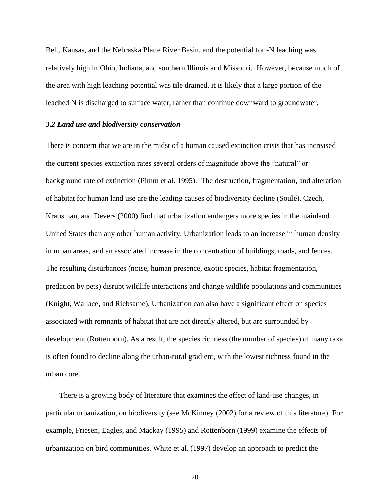Belt, Kansas, and the Nebraska Platte River Basin, and the potential for -N leaching was relatively high in Ohio, Indiana, and southern Illinois and Missouri. However, because much of the area with high leaching potential was tile drained, it is likely that a large portion of the leached N is discharged to surface water, rather than continue downward to groundwater.

#### *3.2 Land use and biodiversity conservation*

There is concern that we are in the midst of a human caused extinction crisis that has increased the current species extinction rates several orders of magnitude above the "natural" or background rate of extinction (Pimm et al. 1995). The destruction, fragmentation, and alteration of habitat for human land use are the leading causes of biodiversity decline (Soulé). Czech, Krausman, and Devers (2000) find that urbanization endangers more species in the mainland United States than any other human activity. Urbanization leads to an increase in human density in urban areas, and an associated increase in the concentration of buildings, roads, and fences. The resulting disturbances (noise, human presence, exotic species, habitat fragmentation, predation by pets) disrupt wildlife interactions and change wildlife populations and communities (Knight, Wallace, and Riebsame). Urbanization can also have a significant effect on species associated with remnants of habitat that are not directly altered, but are surrounded by development (Rottenborn). As a result, the species richness (the number of species) of many taxa is often found to decline along the urban-rural gradient, with the lowest richness found in the urban core.

There is a growing body of literature that examines the effect of land-use changes, in particular urbanization, on biodiversity (see McKinney (2002) for a review of this literature). For example, Friesen, Eagles, and Mackay (1995) and Rottenborn (1999) examine the effects of urbanization on bird communities. White et al. (1997) develop an approach to predict the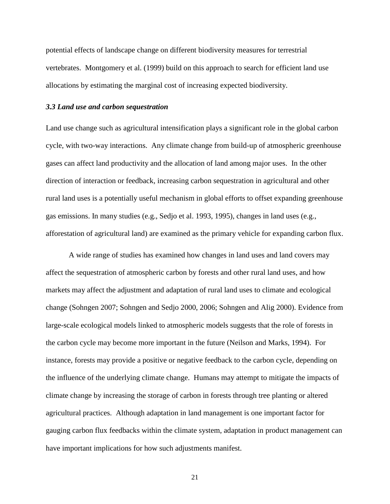potential effects of landscape change on different biodiversity measures for terrestrial vertebrates. Montgomery et al. (1999) build on this approach to search for efficient land use allocations by estimating the marginal cost of increasing expected biodiversity.

#### *3.3 Land use and carbon sequestration*

Land use change such as agricultural intensification plays a significant role in the global carbon cycle, with two-way interactions. Any climate change from build-up of atmospheric greenhouse gases can affect land productivity and the allocation of land among major uses. In the other direction of interaction or feedback, increasing carbon sequestration in agricultural and other rural land uses is a potentially useful mechanism in global efforts to offset expanding greenhouse gas emissions. In many studies (e.g., Sedjo et al. 1993, 1995), changes in land uses (e.g., afforestation of agricultural land) are examined as the primary vehicle for expanding carbon flux.

A wide range of studies has examined how changes in land uses and land covers may affect the sequestration of atmospheric carbon by forests and other rural land uses, and how markets may affect the adjustment and adaptation of rural land uses to climate and ecological change (Sohngen 2007; Sohngen and Sedjo 2000, 2006; Sohngen and Alig 2000). Evidence from large-scale ecological models linked to atmospheric models suggests that the role of forests in the carbon cycle may become more important in the future (Neilson and Marks, 1994). For instance, forests may provide a positive or negative feedback to the carbon cycle, depending on the influence of the underlying climate change. Humans may attempt to mitigate the impacts of climate change by increasing the storage of carbon in forests through tree planting or altered agricultural practices. Although adaptation in land management is one important factor for gauging carbon flux feedbacks within the climate system, adaptation in product management can have important implications for how such adjustments manifest.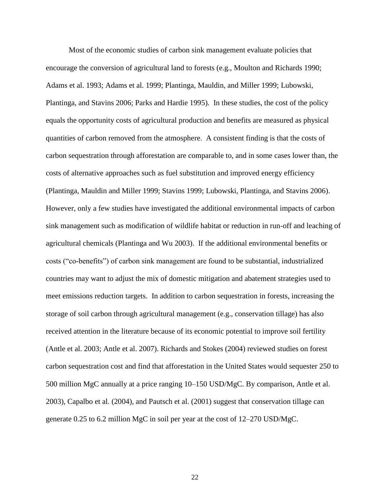Most of the economic studies of carbon sink management evaluate policies that encourage the conversion of agricultural land to forests (e.g., Moulton and Richards 1990; Adams et al. 1993; Adams et al. 1999; Plantinga, Mauldin, and Miller 1999; Lubowski, Plantinga, and Stavins 2006; Parks and Hardie 1995). In these studies, the cost of the policy equals the opportunity costs of agricultural production and benefits are measured as physical quantities of carbon removed from the atmosphere. A consistent finding is that the costs of carbon sequestration through afforestation are comparable to, and in some cases lower than, the costs of alternative approaches such as fuel substitution and improved energy efficiency (Plantinga, Mauldin and Miller 1999; Stavins 1999; Lubowski, Plantinga, and Stavins 2006). However, only a few studies have investigated the additional environmental impacts of carbon sink management such as modification of wildlife habitat or reduction in run-off and leaching of agricultural chemicals (Plantinga and Wu 2003). If the additional environmental benefits or costs ("co-benefits") of carbon sink management are found to be substantial, industrialized countries may want to adjust the mix of domestic mitigation and abatement strategies used to meet emissions reduction targets. In addition to carbon sequestration in forests, increasing the storage of soil carbon through agricultural management (e.g., conservation tillage) has also received attention in the literature because of its economic potential to improve soil fertility (Antle et al. 2003; Antle et al. 2007). Richards and Stokes (2004) reviewed studies on forest carbon sequestration cost and find that afforestation in the United States would sequester 250 to 500 million MgC annually at a price ranging 10–150 USD/MgC. By comparison, Antle et al. 2003), Capalbo et al. (2004), and Pautsch et al. (2001) suggest that conservation tillage can generate 0.25 to 6.2 million MgC in soil per year at the cost of 12–270 USD/MgC.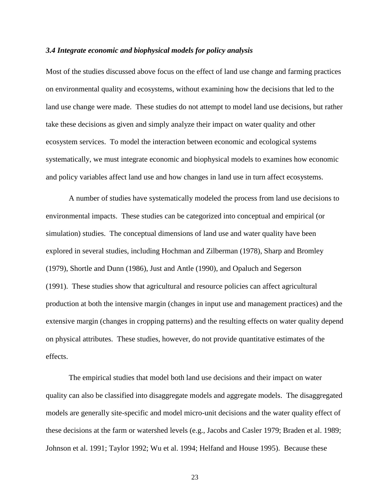#### *3.4 Integrate economic and biophysical models for policy analysis*

Most of the studies discussed above focus on the effect of land use change and farming practices on environmental quality and ecosystems, without examining how the decisions that led to the land use change were made. These studies do not attempt to model land use decisions, but rather take these decisions as given and simply analyze their impact on water quality and other ecosystem services. To model the interaction between economic and ecological systems systematically, we must integrate economic and biophysical models to examines how economic and policy variables affect land use and how changes in land use in turn affect ecosystems.

A number of studies have systematically modeled the process from land use decisions to environmental impacts. These studies can be categorized into conceptual and empirical (or simulation) studies. The conceptual dimensions of land use and water quality have been explored in several studies, including Hochman and Zilberman (1978), Sharp and Bromley (1979), Shortle and Dunn (1986), Just and Antle (1990), and Opaluch and Segerson (1991). These studies show that agricultural and resource policies can affect agricultural production at both the intensive margin (changes in input use and management practices) and the extensive margin (changes in cropping patterns) and the resulting effects on water quality depend on physical attributes. These studies, however, do not provide quantitative estimates of the effects.

The empirical studies that model both land use decisions and their impact on water quality can also be classified into disaggregate models and aggregate models. The disaggregated models are generally site-specific and model micro-unit decisions and the water quality effect of these decisions at the farm or watershed levels (e.g., Jacobs and Casler 1979; Braden et al. 1989; Johnson et al. 1991; Taylor 1992; Wu et al. 1994; Helfand and House 1995). Because these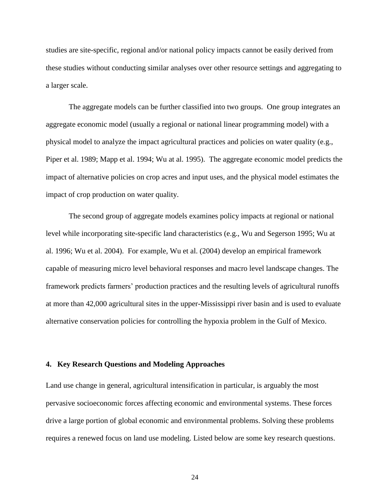studies are site-specific, regional and/or national policy impacts cannot be easily derived from these studies without conducting similar analyses over other resource settings and aggregating to a larger scale.

The aggregate models can be further classified into two groups. One group integrates an aggregate economic model (usually a regional or national linear programming model) with a physical model to analyze the impact agricultural practices and policies on water quality (e.g., Piper et al. 1989; Mapp et al. 1994; Wu at al. 1995). The aggregate economic model predicts the impact of alternative policies on crop acres and input uses, and the physical model estimates the impact of crop production on water quality.

The second group of aggregate models examines policy impacts at regional or national level while incorporating site-specific land characteristics (e.g., Wu and Segerson 1995; Wu at al. 1996; Wu et al. 2004). For example, Wu et al. (2004) develop an empirical framework capable of measuring micro level behavioral responses and macro level landscape changes. The framework predicts farmers' production practices and the resulting levels of agricultural runoffs at more than 42,000 agricultural sites in the upper-Mississippi river basin and is used to evaluate alternative conservation policies for controlling the hypoxia problem in the Gulf of Mexico.

# **4. Key Research Questions and Modeling Approaches**

Land use change in general, agricultural intensification in particular, is arguably the most pervasive socioeconomic forces affecting economic and environmental systems. These forces drive a large portion of global economic and environmental problems. Solving these problems requires a renewed focus on land use modeling. Listed below are some key research questions.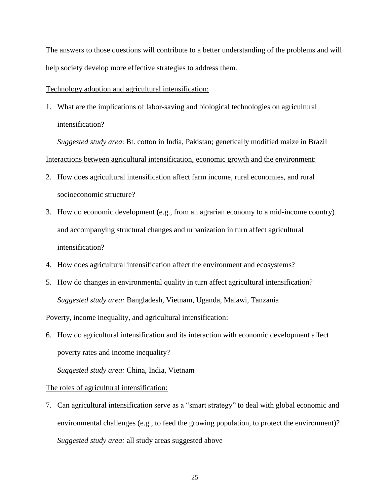The answers to those questions will contribute to a better understanding of the problems and will help society develop more effective strategies to address them.

#### Technology adoption and agricultural intensification:

1. What are the implications of labor-saving and biological technologies on agricultural intensification?

*Suggested study area*: Bt. cotton in India, Pakistan; genetically modified maize in Brazil Interactions between agricultural intensification, economic growth and the environment:

- 2. How does agricultural intensification affect farm income, rural economies, and rural socioeconomic structure?
- 3. How do economic development (e.g., from an agrarian economy to a mid-income country) and accompanying structural changes and urbanization in turn affect agricultural intensification?
- 4. How does agricultural intensification affect the environment and ecosystems?
- 5. How do changes in environmental quality in turn affect agricultural intensification? *Suggested study area:* Bangladesh, Vietnam, Uganda, Malawi, Tanzania

## Poverty, income inequality, and agricultural intensification:

6. How do agricultural intensification and its interaction with economic development affect poverty rates and income inequality?

*Suggested study area:* China, India, Vietnam

## The roles of agricultural intensification:

7. Can agricultural intensification serve as a "smart strategy" to deal with global economic and environmental challenges (e.g., to feed the growing population, to protect the environment)? *Suggested study area:* all study areas suggested above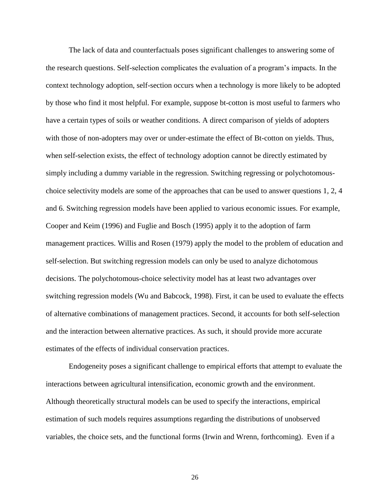The lack of data and counterfactuals poses significant challenges to answering some of the research questions. Self-selection complicates the evaluation of a program's impacts. In the context technology adoption, self-section occurs when a technology is more likely to be adopted by those who find it most helpful. For example, suppose bt-cotton is most useful to farmers who have a certain types of soils or weather conditions. A direct comparison of yields of adopters with those of non-adopters may over or under-estimate the effect of Bt-cotton on yields. Thus, when self-selection exists, the effect of technology adoption cannot be directly estimated by simply including a dummy variable in the regression. Switching regressing or polychotomouschoice selectivity models are some of the approaches that can be used to answer questions 1, 2, 4 and 6. Switching regression models have been applied to various economic issues. For example, Cooper and Keim (1996) and Fuglie and Bosch (1995) apply it to the adoption of farm management practices. Willis and Rosen (1979) apply the model to the problem of education and self-selection. But switching regression models can only be used to analyze dichotomous decisions. The polychotomous-choice selectivity model has at least two advantages over switching regression models (Wu and Babcock, 1998). First, it can be used to evaluate the effects of alternative combinations of management practices. Second, it accounts for both self-selection and the interaction between alternative practices. As such, it should provide more accurate estimates of the effects of individual conservation practices.

Endogeneity poses a significant challenge to empirical efforts that attempt to evaluate the interactions between agricultural intensification, economic growth and the environment. Although theoretically structural models can be used to specify the interactions, empirical estimation of such models requires assumptions regarding the distributions of unobserved variables, the choice sets, and the functional forms (Irwin and Wrenn, forthcoming). Even if a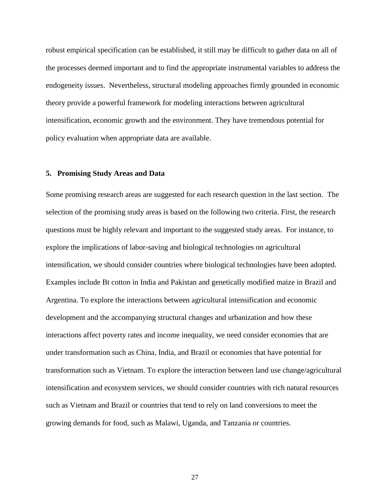robust empirical specification can be established, it still may be difficult to gather data on all of the processes deemed important and to find the appropriate instrumental variables to address the endogeneity issues. Nevertheless, structural modeling approaches firmly grounded in economic theory provide a powerful framework for modeling interactions between agricultural intensification, economic growth and the environment. They have tremendous potential for policy evaluation when appropriate data are available.

#### **5. Promising Study Areas and Data**

Some promising research areas are suggested for each research question in the last section. The selection of the promising study areas is based on the following two criteria. First, the research questions must be highly relevant and important to the suggested study areas. For instance, to explore the implications of labor-saving and biological technologies on agricultural intensification, we should consider countries where biological technologies have been adopted. Examples include Bt cotton in India and Pakistan and genetically modified maize in Brazil and Argentina. To explore the interactions between agricultural intensification and economic development and the accompanying structural changes and urbanization and how these interactions affect poverty rates and income inequality, we need consider economies that are under transformation such as China, India, and Brazil or economies that have potential for transformation such as Vietnam. To explore the interaction between land use change/agricultural intensification and ecosystem services, we should consider countries with rich natural resources such as Vietnam and Brazil or countries that tend to rely on land conversions to meet the growing demands for food, such as Malawi, Uganda, and Tanzania or countries.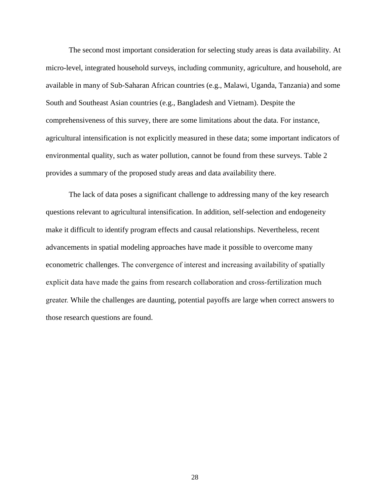The second most important consideration for selecting study areas is data availability. At micro-level, integrated household surveys, including community, agriculture, and household, are available in many of Sub-Saharan African countries (e.g., Malawi, Uganda, Tanzania) and some South and Southeast Asian countries (e.g., Bangladesh and Vietnam). Despite the comprehensiveness of this survey, there are some limitations about the data. For instance, agricultural intensification is not explicitly measured in these data; some important indicators of environmental quality, such as water pollution, cannot be found from these surveys. [Table 2](#page-28-0) provides a summary of the proposed study areas and data availability there.

The lack of data poses a significant challenge to addressing many of the key research questions relevant to agricultural intensification. In addition, self-selection and endogeneity make it difficult to identify program effects and causal relationships. Nevertheless, recent advancements in spatial modeling approaches have made it possible to overcome many econometric challenges. The convergence of interest and increasing availability of spatially explicit data have made the gains from research collaboration and cross-fertilization much greater. While the challenges are daunting, potential payoffs are large when correct answers to those research questions are found.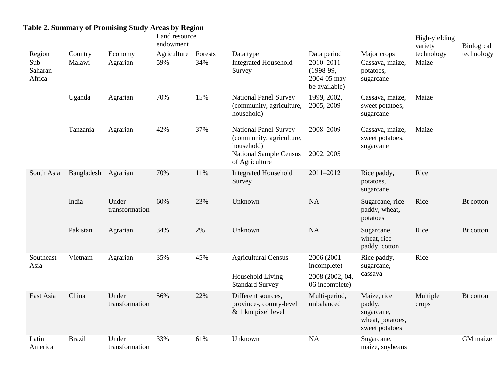# **Table 2. Summary of Promising Study Areas by Region**

<span id="page-28-0"></span>

|                           |               |                         | Land resource |         |                                                                                                                           |                                                          | High-yielding                                                             |                   |            |
|---------------------------|---------------|-------------------------|---------------|---------|---------------------------------------------------------------------------------------------------------------------------|----------------------------------------------------------|---------------------------------------------------------------------------|-------------------|------------|
|                           |               |                         | endowment     |         |                                                                                                                           |                                                          |                                                                           | variety           | Biological |
| Region                    | Country       | Economy                 | Agriculture   | Forests | Data type                                                                                                                 | Data period                                              | Major crops                                                               | technology        | technology |
| Sub-<br>Saharan<br>Africa | Malawi        | Agrarian                | 59%           | 34%     | <b>Integrated Household</b><br>Survey                                                                                     | 2010-2011<br>$(1998-99,$<br>2004-05 may<br>be available) | Cassava, maize,<br>potatoes,<br>sugarcane                                 | Maize             |            |
|                           | Uganda        | Agrarian                | 70%           | 15%     | <b>National Panel Survey</b><br>(community, agriculture,<br>household)                                                    | 1999, 2002,<br>2005, 2009                                | Cassava, maize,<br>sweet potatoes,<br>sugarcane                           | Maize             |            |
|                           | Tanzania      | Agrarian                | 42%           | 37%     | <b>National Panel Survey</b><br>(community, agriculture,<br>household)<br><b>National Sample Census</b><br>of Agriculture | 2008-2009<br>2002, 2005                                  | Cassava, maize,<br>sweet potatoes,<br>sugarcane                           | Maize             |            |
| South Asia                | Bangladesh    | Agrarian                | 70%           | 11%     | <b>Integrated Household</b><br>Survey                                                                                     | 2011-2012                                                | Rice paddy,<br>potatoes,<br>sugarcane                                     | Rice              |            |
|                           | India         | Under<br>transformation | 60%           | 23%     | Unknown                                                                                                                   | <b>NA</b>                                                | Sugarcane, rice<br>paddy, wheat,<br>potatoes                              | Rice              | Bt cotton  |
|                           | Pakistan      | Agrarian                | 34%           | 2%      | Unknown                                                                                                                   | <b>NA</b>                                                | Sugarcane,<br>wheat, rice<br>paddy, cotton                                | Rice              | Bt cotton  |
| Southeast<br>Asia         | Vietnam       | Agrarian                | 35%<br>45%    |         | <b>Agricultural Census</b>                                                                                                | 2006 (2001<br>incomplete)                                | Rice paddy,<br>sugarcane,                                                 | Rice              |            |
|                           |               |                         |               |         | Household Living<br><b>Standard Survey</b>                                                                                | 2008 (2002, 04,<br>06 incomplete)                        | cassava                                                                   |                   |            |
| East Asia                 | China         | Under<br>transformation | 56%           | 22%     | Different sources,<br>province-, county-level<br>& 1 km pixel level                                                       | Multi-period,<br>unbalanced                              | Maize, rice<br>paddy,<br>sugarcane,<br>wheat, potatoes,<br>sweet potatoes | Multiple<br>crops | Bt cotton  |
| Latin<br>America          | <b>Brazil</b> | Under<br>transformation | 33%           | 61%     | Unknown                                                                                                                   | NA                                                       | Sugarcane,<br>maize, soybeans                                             |                   | GM maize   |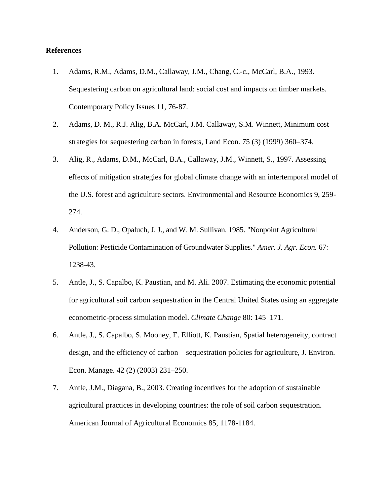# **References**

- 1. Adams, R.M., Adams, D.M., Callaway, J.M., Chang, C.-c., McCarl, B.A., 1993. Sequestering carbon on agricultural land: social cost and impacts on timber markets. Contemporary Policy Issues 11, 76-87.
- 2. Adams, D. M., R.J. Alig, B.A. McCarl, J.M. Callaway, S.M. Winnett, Minimum cost strategies for sequestering carbon in forests, Land Econ. 75 (3) (1999) 360–374.
- 3. Alig, R., Adams, D.M., McCarl, B.A., Callaway, J.M., Winnett, S., 1997. Assessing effects of mitigation strategies for global climate change with an intertemporal model of the U.S. forest and agriculture sectors. Environmental and Resource Economics 9, 259- 274.
- 4. Anderson, G. D., Opaluch, J. J., and W. M. Sullivan. 1985. "Nonpoint Agricultural Pollution: Pesticide Contamination of Groundwater Supplies." *Amer. J. Agr. Econ.* 67: 1238-43.
- 5. Antle, J., S. Capalbo, K. Paustian, and M. Ali. 2007. Estimating the economic potential for agricultural soil carbon sequestration in the Central United States using an aggregate econometric-process simulation model. *Climate Change* 80: 145–171.
- 6. Antle, J., S. Capalbo, S. Mooney, E. Elliott, K. Paustian, Spatial heterogeneity, contract design, and the efficiency of carbon sequestration policies for agriculture, J. Environ. Econ. Manage. 42 (2) (2003) 231–250.
- 7. Antle, J.M., Diagana, B., 2003. Creating incentives for the adoption of sustainable agricultural practices in developing countries: the role of soil carbon sequestration. American Journal of Agricultural Economics 85, 1178-1184.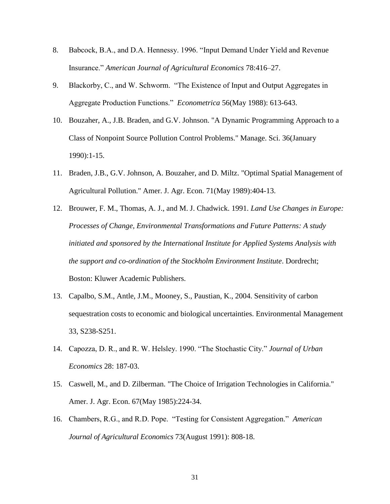- 8. Babcock, B.A., and D.A. Hennessy. 1996. "Input Demand Under Yield and Revenue Insurance." *American Journal of Agricultural Economics* 78:416–27.
- 9. Blackorby, C., and W. Schworm. "The Existence of Input and Output Aggregates in Aggregate Production Functions." *Econometrica* 56(May 1988): 613-643.
- 10. Bouzaher, A., J.B. Braden, and G.V. Johnson. "A Dynamic Programming Approach to a Class of Nonpoint Source Pollution Control Problems." Manage. Sci. 36(January 1990):1-15.
- 11. Braden, J.B., G.V. Johnson, A. Bouzaher, and D. Miltz. "Optimal Spatial Management of Agricultural Pollution." Amer. J. Agr. Econ. 71(May 1989):404-13.
- 12. Brouwer, F. M., Thomas, A. J., and M. J. Chadwick. 1991. *Land Use Changes in Europe: Processes of Change, Environmental Transformations and Future Patterns: A study initiated and sponsored by the International Institute for Applied Systems Analysis with the support and co-ordination of the Stockholm Environment Institute*. Dordrecht; Boston: Kluwer Academic Publishers.
- 13. Capalbo, S.M., Antle, J.M., Mooney, S., Paustian, K., 2004. Sensitivity of carbon sequestration costs to economic and biological uncertainties. Environmental Management 33, S238-S251.
- 14. Capozza, D. R., and R. W. Helsley. 1990. "The Stochastic City." *Journal of Urban Economics* 28: 187-03.
- 15. Caswell, M., and D. Zilberman. "The Choice of Irrigation Technologies in California." Amer. J. Agr. Econ. 67(May 1985):224-34.
- 16. Chambers, R.G., and R.D. Pope. "Testing for Consistent Aggregation." *American Journal of Agricultural Economics* 73(August 1991): 808-18.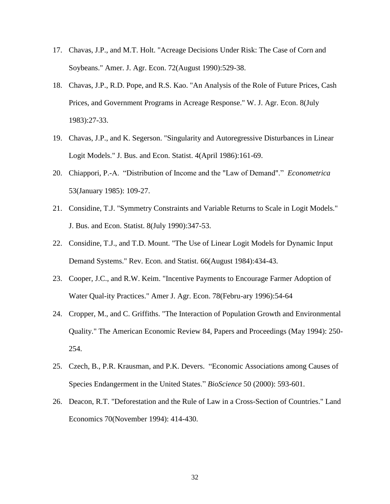- 17. Chavas, J.P., and M.T. Holt. "Acreage Decisions Under Risk: The Case of Corn and Soybeans." Amer. J. Agr. Econ. 72(August 1990):529-38.
- 18. Chavas, J.P., R.D. Pope, and R.S. Kao. "An Analysis of the Role of Future Prices, Cash Prices, and Government Programs in Acreage Response." W. J. Agr. Econ. 8(July 1983):27-33.
- 19. Chavas, J.P., and K. Segerson. "Singularity and Autoregressive Disturbances in Linear Logit Models." J. Bus. and Econ. Statist. 4(April 1986):161-69.
- 20. Chiappori, P.-A. "Distribution of Income and the "Law of Demand"." *Econometrica*  53(January 1985): 109-27.
- 21. Considine, T.J. "Symmetry Constraints and Variable Returns to Scale in Logit Models." J. Bus. and Econ. Statist. 8(July 1990):347-53.
- 22. Considine, T.J., and T.D. Mount. "The Use of Linear Logit Models for Dynamic Input Demand Systems." Rev. Econ. and Statist. 66(August 1984):434-43.
- 23. Cooper, J.C., and R.W. Keim. "Incentive Payments to Encourage Farmer Adoption of Water Qual-ity Practices." Amer J. Agr. Econ. 78(Febru-ary 1996):54-64
- 24. Cropper, M., and C. Griffiths. "The Interaction of Population Growth and Environmental Quality." The American Economic Review 84, Papers and Proceedings (May 1994): 250- 254.
- 25. Czech, B., P.R. Krausman, and P.K. Devers. "Economic Associations among Causes of Species Endangerment in the United States." *BioScience* 50 (2000): 593-601.
- 26. Deacon, R.T. "Deforestation and the Rule of Law in a Cross-Section of Countries." Land Economics 70(November 1994): 414-430.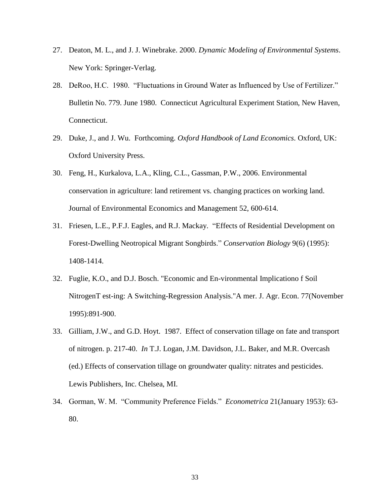- 27. Deaton, M. L., and J. J. Winebrake. 2000. *Dynamic Modeling of Environmental Systems*. New York: Springer-Verlag.
- 28. DeRoo, H.C. 1980. "Fluctuations in Ground Water as Influenced by Use of Fertilizer." Bulletin No. 779. June 1980. Connecticut Agricultural Experiment Station, New Haven, Connecticut.
- 29. Duke, J., and J. Wu. Forthcoming. *Oxford Handbook of Land Economics*. Oxford, UK: Oxford University Press.
- 30. Feng, H., Kurkalova, L.A., Kling, C.L., Gassman, P.W., 2006. Environmental conservation in agriculture: land retirement vs. changing practices on working land. Journal of Environmental Economics and Management 52, 600-614.
- 31. Friesen, L.E., P.F.J. Eagles, and R.J. Mackay. "Effects of Residential Development on Forest-Dwelling Neotropical Migrant Songbirds." *Conservation Biology* 9(6) (1995): 1408-1414.
- 32. Fuglie, K.O., and D.J. Bosch. "Economic and En-vironmental Implicationo f Soil NitrogenT est-ing: A Switching-Regression Analysis."A mer. J. Agr. Econ. 77(November 1995):891-900.
- 33. Gilliam, J.W., and G.D. Hoyt. 1987. Effect of conservation tillage on fate and transport of nitrogen. p. 217-40. *In* T.J. Logan, J.M. Davidson, J.L. Baker, and M.R. Overcash (ed.) Effects of conservation tillage on groundwater quality: nitrates and pesticides. Lewis Publishers, Inc. Chelsea, MI.
- 34. Gorman, W. M. "Community Preference Fields." *Econometrica* 21(January 1953): 63- 80.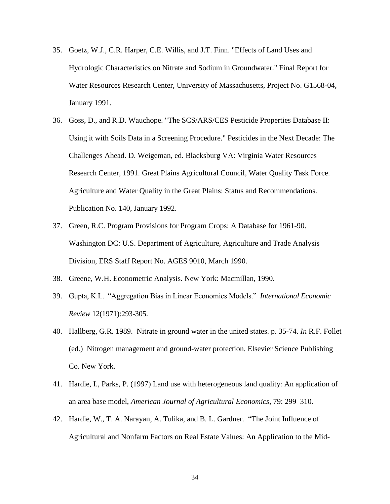- 35. Goetz, W.J., C.R. Harper, C.E. Willis, and J.T. Finn. "Effects of Land Uses and Hydrologic Characteristics on Nitrate and Sodium in Groundwater." Final Report for Water Resources Research Center, University of Massachusetts, Project No. G1568-04, January 1991.
- 36. Goss, D., and R.D. Wauchope. "The SCS/ARS/CES Pesticide Properties Database II: Using it with Soils Data in a Screening Procedure." Pesticides in the Next Decade: The Challenges Ahead. D. Weigeman, ed. Blacksburg VA: Virginia Water Resources Research Center, 1991. Great Plains Agricultural Council, Water Quality Task Force. Agriculture and Water Quality in the Great Plains: Status and Recommendations. Publication No. 140, January 1992.
- 37. Green, R.C. Program Provisions for Program Crops: A Database for 1961-90. Washington DC: U.S. Department of Agriculture, Agriculture and Trade Analysis Division, ERS Staff Report No. AGES 9010, March 1990.
- 38. Greene, W.H. Econometric Analysis. New York: Macmillan, 1990.
- 39. Gupta, K.L. "Aggregation Bias in Linear Economics Models." *International Economic Review* 12(1971):293-305.
- 40. Hallberg, G.R. 1989. Nitrate in ground water in the united states. p. 35-74. *In* R.F. Follet (ed.) Nitrogen management and ground-water protection. Elsevier Science Publishing Co. New York.
- 41. Hardie, I., Parks, P. (1997) Land use with heterogeneous land quality: An application of an area base model, *American Journal of Agricultural Economics*, 79: 299–310.
- 42. Hardie, W., T. A. Narayan, A. Tulika, and B. L. Gardner. "The Joint Influence of Agricultural and Nonfarm Factors on Real Estate Values: An Application to the Mid-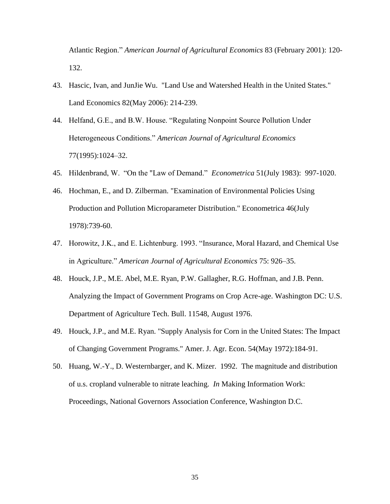Atlantic Region." *American Journal of Agricultural Economics* 83 (February 2001): 120- 132.

- 43. Hascic, Ivan, and JunJie Wu. "Land Use and Watershed Health in the United States." Land Economics 82(May 2006): 214-239.
- 44. Helfand, G.E., and B.W. House. "Regulating Nonpoint Source Pollution Under Heterogeneous Conditions." *American Journal of Agricultural Economics*  77(1995):1024–32.
- 45. Hildenbrand, W. "On the "Law of Demand." *Econometrica* 51(July 1983): 997-1020.
- 46. Hochman, E., and D. Zilberman. "Examination of Environmental Policies Using Production and Pollution Microparameter Distribution." Econometrica 46(July 1978):739-60.
- 47. Horowitz, J.K., and E. Lichtenburg. 1993. "Insurance, Moral Hazard, and Chemical Use in Agriculture." *American Journal of Agricultural Economics* 75: 926–35.
- 48. Houck, J.P., M.E. Abel, M.E. Ryan, P.W. Gallagher, R.G. Hoffman, and J.B. Penn. Analyzing the Impact of Government Programs on Crop Acre-age. Washington DC: U.S. Department of Agriculture Tech. Bull. 11548, August 1976.
- 49. Houck, J.P., and M.E. Ryan. "Supply Analysis for Corn in the United States: The Impact of Changing Government Programs." Amer. J. Agr. Econ. 54(May 1972):184-91.
- 50. Huang, W.-Y., D. Westernbarger, and K. Mizer. 1992. The magnitude and distribution of u.s. cropland vulnerable to nitrate leaching. *In* Making Information Work: Proceedings, National Governors Association Conference, Washington D.C.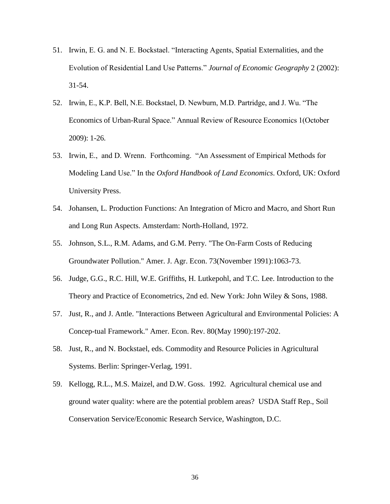- 51. Irwin, E. G. and N. E. Bockstael. "Interacting Agents, Spatial Externalities, and the Evolution of Residential Land Use Patterns." *Journal of Economic Geography* 2 (2002): 31-54.
- 52. Irwin, E., K.P. Bell, N.E. Bockstael, D. Newburn, M.D. Partridge, and J. Wu. "The Economics of Urban-Rural Space." Annual Review of Resource Economics 1(October 2009): 1-26.
- 53. Irwin, E., and D. Wrenn. Forthcoming. "An Assessment of Empirical Methods for Modeling Land Use." In the *Oxford Handbook of Land Economics*. Oxford, UK: Oxford University Press.
- 54. Johansen, L. Production Functions: An Integration of Micro and Macro, and Short Run and Long Run Aspects. Amsterdam: North-Holland, 1972.
- 55. Johnson, S.L., R.M. Adams, and G.M. Perry. "The On-Farm Costs of Reducing Groundwater Pollution." Amer. J. Agr. Econ. 73(November 1991):1063-73.
- 56. Judge, G.G., R.C. Hill, W.E. Griffiths, H. Lutkepohl, and T.C. Lee. Introduction to the Theory and Practice of Econometrics, 2nd ed. New York: John Wiley & Sons, 1988.
- 57. Just, R., and J. Antle. "Interactions Between Agricultural and Environmental Policies: A Concep-tual Framework." Amer. Econ. Rev. 80(May 1990):197-202.
- 58. Just, R., and N. Bockstael, eds. Commodity and Resource Policies in Agricultural Systems. Berlin: Springer-Verlag, 1991.
- 59. Kellogg, R.L., M.S. Maizel, and D.W. Goss. 1992. Agricultural chemical use and ground water quality: where are the potential problem areas? USDA Staff Rep., Soil Conservation Service/Economic Research Service, Washington, D.C.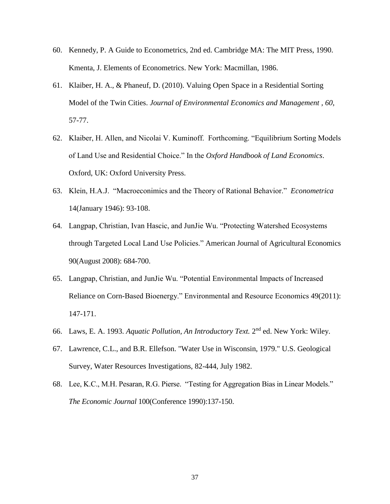- 60. Kennedy, P. A Guide to Econometrics, 2nd ed. Cambridge MA: The MIT Press, 1990. Kmenta, J. Elements of Econometrics. New York: Macmillan, 1986.
- 61. Klaiber, H. A., & Phaneuf, D. (2010). Valuing Open Space in a Residential Sorting Model of the Twin Cities. *Journal of Environmental Economics and Management , 60*, 57-77.
- 62. Klaiber, H. Allen, and Nicolai V. Kuminoff. Forthcoming. "Equilibrium Sorting Models of Land Use and Residential Choice." In the *Oxford Handbook of Land Economics*. Oxford, UK: Oxford University Press.
- 63. Klein, H.A.J. "Macroeconimics and the Theory of Rational Behavior." *Econometrica*  14(January 1946): 93-108.
- 64. Langpap, Christian, Ivan Hascic, and JunJie Wu. "Protecting Watershed Ecosystems through Targeted Local Land Use Policies." American Journal of Agricultural Economics 90(August 2008): 684-700.
- 65. Langpap, Christian, and JunJie Wu. "Potential Environmental Impacts of Increased Reliance on Corn-Based Bioenergy." Environmental and Resource Economics 49(2011): 147-171.
- 66. Laws, E. A. 1993. *Aquatic Pollution, An Introductory Text.* 2 nd ed. New York: Wiley.
- 67. Lawrence, C.L., and B.R. Ellefson. "Water Use in Wisconsin, 1979." U.S. Geological Survey, Water Resources Investigations, 82-444, July 1982.
- 68. Lee, K.C., M.H. Pesaran, R.G. Pierse. "Testing for Aggregation Bias in Linear Models." *The Economic Journal* 100(Conference 1990):137-150.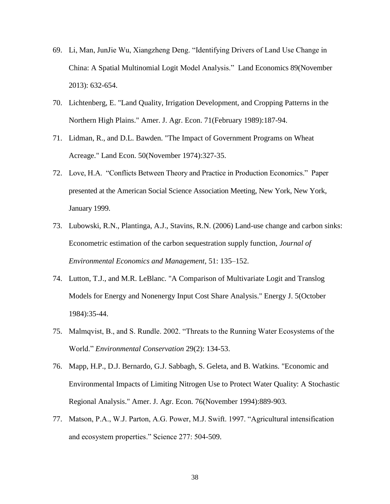- 69. Li, Man, JunJie Wu, Xiangzheng Deng. "Identifying Drivers of Land Use Change in China: A Spatial Multinomial Logit Model Analysis." Land Economics 89(November 2013): 632-654.
- 70. Lichtenberg, E. "Land Quality, Irrigation Development, and Cropping Patterns in the Northern High Plains." Amer. J. Agr. Econ. 71(February 1989):187-94.
- 71. Lidman, R., and D.L. Bawden. "The Impact of Government Programs on Wheat Acreage." Land Econ. 50(November 1974):327-35.
- 72. Love, H.A. "Conflicts Between Theory and Practice in Production Economics." Paper presented at the American Social Science Association Meeting, New York, New York, January 1999.
- 73. Lubowski, R.N., Plantinga, A.J., Stavins, R.N. (2006) Land-use change and carbon sinks: Econometric estimation of the carbon sequestration supply function, *Journal of Environmental Economics and Management*, 51: 135–152.
- 74. Lutton, T.J., and M.R. LeBlanc. "A Comparison of Multivariate Logit and Translog Models for Energy and Nonenergy Input Cost Share Analysis." Energy J. 5(October 1984):35-44.
- 75. Malmqvist, B., and S. Rundle. 2002. "Threats to the Running Water Ecosystems of the World." *Environmental Conservation* 29(2): 134-53.
- 76. Mapp, H.P., D.J. Bernardo, G.J. Sabbagh, S. Geleta, and B. Watkins. "Economic and Environmental Impacts of Limiting Nitrogen Use to Protect Water Quality: A Stochastic Regional Analysis." Amer. J. Agr. Econ. 76(November 1994):889-903.
- 77. Matson, P.A., W.J. Parton, A.G. Power, M.J. Swift. 1997. "Agricultural intensification and ecosystem properties." Science 277: 504-509.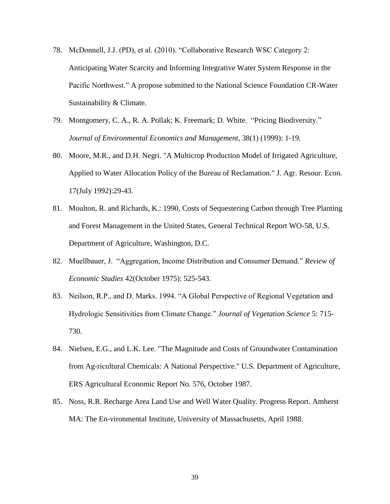- 78. McDonnell, J.J. (PD), et al. (2010). "Collaborative Research WSC Category 2: Anticipating Water Scarcity and Informing Integrative Water System Response in the Pacific Northwest." A propose submitted to the National Science Foundation CR-Water Sustainability & Climate.
- 79. Montgomery, C. A., R. A. Pollak; K. Freemark; D. White. "Pricing Biodiversity." *Journal of Environmental Economics and Management*, 38(1) (1999): 1-19.
- 80. Moore, M.R., and D.H. Negri. "A Multicrop Production Model of Irrigated Agriculture, Applied to Water Allocation Policy of the Bureau of Reclamation." J. Agr. Resour. Econ. 17(July 1992):29-43.
- 81. Moulton, R. and Richards, K.: 1990, Costs of Sequestering Carbon through Tree Planting and Forest Management in the United States, General Technical Report WO-58, U.S. Department of Agriculture, Washington, D.C.
- 82. Muellbauer, J. "Aggregation, Income Distribution and Consumer Demand." *Review of Economic Studies* 42(October 1975): 525-543.
- 83. Neilson, R.P., and D. Marks. 1994. "A Global Perspective of Regional Vegetation and Hydrologic Sensitivities from Climate Change." *Journal of Vegetation Science* 5: 715- 730.
- 84. Nielsen, E.G., and L.K. Lee. "The Magnitude and Costs of Groundwater Contamination from Ag-ricultural Chemicals: A National Perspective." U.S. Department of Agriculture, ERS Agricultural Economic Report No. 576, October 1987.
- 85. Noss, R.R. Recharge Area Land Use and Well Water Quality. Progress Report. Amherst MA: The En-vironmental Institute, University of Massachusetts, April 1988.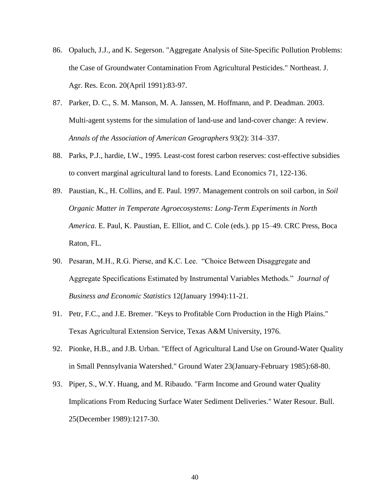- 86. Opaluch, J.J., and K. Segerson. "Aggregate Analysis of Site-Specific Pollution Problems: the Case of Groundwater Contamination From Agricultural Pesticides." Northeast. J. Agr. Res. Econ. 20(April 1991):83-97.
- 87. Parker, D. C., S. M. Manson, M. A. Janssen, M. Hoffmann, and P. Deadman. 2003. Multi-agent systems for the simulation of land-use and land-cover change: A review. *Annals of the Association of American Geographers* 93(2): 314–337.
- 88. Parks, P.J., hardie, I.W., 1995. Least-cost forest carbon reserves: cost-effective subsidies to convert marginal agricultural land to forests. Land Economics 71, 122-136.
- 89. Paustian, K., H. Collins, and E. Paul. 1997. Management controls on soil carbon, in *Soil Organic Matter in Temperate Agroecosystems: Long-Term Experiments in North America*. E. Paul, K. Paustian, E. Elliot, and C. Cole (eds.). pp 15–49. CRC Press, Boca Raton, FL.
- 90. Pesaran, M.H., R.G. Pierse, and K.C. Lee. "Choice Between Disaggregate and Aggregate Specifications Estimated by Instrumental Variables Methods." *Journal of Business and Economic Statistics* 12(January 1994):11-21.
- 91. Petr, F.C., and J.E. Bremer. "Keys to Profitable Corn Production in the High Plains." Texas Agricultural Extension Service, Texas A&M University, 1976.
- 92. Pionke, H.B., and J.B. Urban. "Effect of Agricultural Land Use on Ground-Water Quality in Small Pennsylvania Watershed." Ground Water 23(January-February 1985):68-80.
- 93. Piper, S., W.Y. Huang, and M. Ribaudo. "Farm Income and Ground water Quality Implications From Reducing Surface Water Sediment Deliveries." Water Resour. Bull. 25(December 1989):1217-30.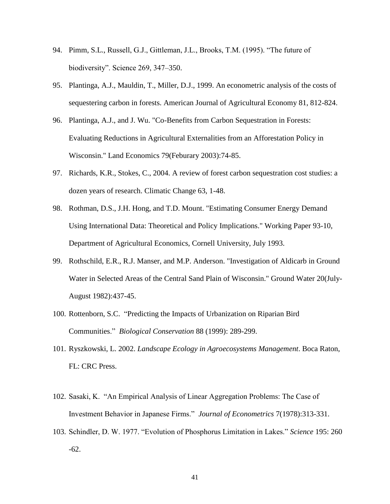- 94. Pimm, S.L., Russell, G.J., Gittleman, J.L., Brooks, T.M. (1995). "The future of biodiversity". Science 269, 347–350.
- 95. Plantinga, A.J., Mauldin, T., Miller, D.J., 1999. An econometric analysis of the costs of sequestering carbon in forests. American Journal of Agricultural Economy 81, 812-824.
- 96. Plantinga, A.J., and J. Wu. "Co-Benefits from Carbon Sequestration in Forests: Evaluating Reductions in Agricultural Externalities from an Afforestation Policy in Wisconsin." Land Economics 79(Feburary 2003):74-85.
- 97. Richards, K.R., Stokes, C., 2004. A review of forest carbon sequestration cost studies: a dozen years of research. Climatic Change 63, 1-48.
- 98. Rothman, D.S., J.H. Hong, and T.D. Mount. "Estimating Consumer Energy Demand Using International Data: Theoretical and Policy Implications." Working Paper 93-10, Department of Agricultural Economics, Cornell University, July 1993.
- 99. Rothschild, E.R., R.J. Manser, and M.P. Anderson. "Investigation of Aldicarb in Ground Water in Selected Areas of the Central Sand Plain of Wisconsin." Ground Water 20(July-August 1982):437-45.
- 100. Rottenborn, S.C. "Predicting the Impacts of Urbanization on Riparian Bird Communities." *Biological Conservation* 88 (1999): 289-299.
- 101. Ryszkowski, L. 2002. *Landscape Ecology in Agroecosystems Management*. Boca Raton, FL: CRC Press.
- 102. Sasaki, K. "An Empirical Analysis of Linear Aggregation Problems: The Case of Investment Behavior in Japanese Firms." *Journal of Econometrics* 7(1978):313-331.
- 103. Schindler, D. W. 1977. "Evolution of Phosphorus Limitation in Lakes." *Science* 195: 260 -62.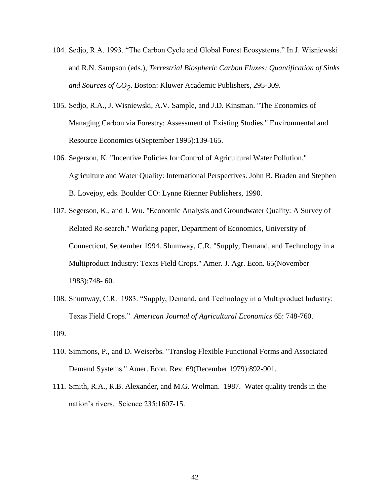- 104. Sedjo, R.A. 1993. "The Carbon Cycle and Global Forest Ecosystems." In J. Wisniewski and R.N. Sampson (eds.), *Terrestrial Biospheric Carbon Fluxes: Quantification of Sinks and Sources of CO2* . Boston: Kluwer Academic Publishers, 295-309.
- 105. Sedjo, R.A., J. Wisniewski, A.V. Sample, and J.D. Kinsman. "The Economics of Managing Carbon via Forestry: Assessment of Existing Studies." Environmental and Resource Economics 6(September 1995):139-165.
- 106. Segerson, K. "Incentive Policies for Control of Agricultural Water Pollution." Agriculture and Water Quality: International Perspectives. John B. Braden and Stephen B. Lovejoy, eds. Boulder CO: Lynne Rienner Publishers, 1990.
- 107. Segerson, K., and J. Wu. "Economic Analysis and Groundwater Quality: A Survey of Related Re-search." Working paper, Department of Economics, University of Connecticut, September 1994. Shumway, C.R. "Supply, Demand, and Technology in a Multiproduct Industry: Texas Field Crops." Amer. J. Agr. Econ. 65(November 1983):748- 60.
- 108. Shumway, C.R. 1983. "Supply, Demand, and Technology in a Multiproduct Industry: Texas Field Crops." *American Journal of Agricultural Economics* 65: 748-760. 109.
- 110. Simmons, P., and D. Weiserbs. "Translog Flexible Functional Forms and Associated Demand Systems." Amer. Econ. Rev. 69(December 1979):892-901.
- 111. Smith, R.A., R.B. Alexander, and M.G. Wolman. 1987. Water quality trends in the nation's rivers. Science 235:1607-15.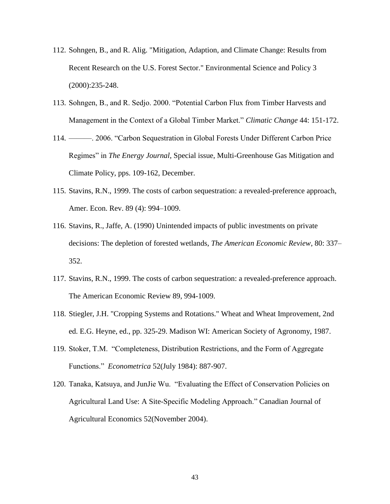- 112. Sohngen, B., and R. Alig. "Mitigation, Adaption, and Climate Change: Results from Recent Research on the U.S. Forest Sector." Environmental Science and Policy 3 (2000):235-248.
- 113. Sohngen, B., and R. Sedjo. 2000. "Potential Carbon Flux from Timber Harvests and Management in the Context of a Global Timber Market." *Climatic Change* 44: 151-172.
- 114. ———. 2006. "Carbon Sequestration in Global Forests Under Different Carbon Price Regimes" in *The Energy Journal*, Special issue, Multi-Greenhouse Gas Mitigation and Climate Policy, pps. 109-162, December.
- 115. Stavins, R.N., 1999. The costs of carbon sequestration: a revealed-preference approach, Amer. Econ. Rev. 89 (4): 994–1009.
- 116. Stavins, R., Jaffe, A. (1990) Unintended impacts of public investments on private decisions: The depletion of forested wetlands, *The American Economic Review*, 80: 337– 352.
- 117. Stavins, R.N., 1999. The costs of carbon sequestration: a revealed-preference approach. The American Economic Review 89, 994-1009.
- 118. Stiegler, J.H. "Cropping Systems and Rotations." Wheat and Wheat Improvement, 2nd ed. E.G. Heyne, ed., pp. 325-29. Madison WI: American Society of Agronomy, 1987.
- 119. Stoker, T.M. "Completeness, Distribution Restrictions, and the Form of Aggregate Functions." *Econometrica* 52(July 1984): 887-907.
- 120. Tanaka, Katsuya, and JunJie Wu. "Evaluating the Effect of Conservation Policies on Agricultural Land Use: A Site-Specific Modeling Approach." Canadian Journal of Agricultural Economics 52(November 2004).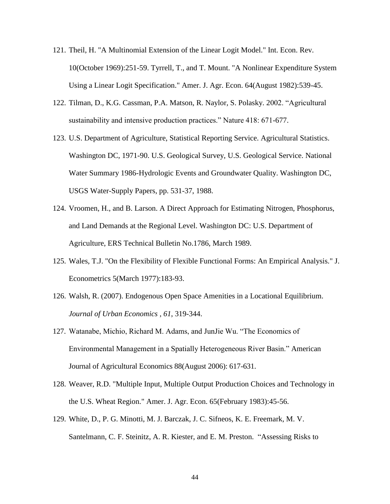- 121. Theil, H. "A Multinomial Extension of the Linear Logit Model." Int. Econ. Rev. 10(October 1969):251-59. Tyrrell, T., and T. Mount. "A Nonlinear Expenditure System Using a Linear Logit Specification." Amer. J. Agr. Econ. 64(August 1982):539-45.
- 122. Tilman, D., K.G. Cassman, P.A. Matson, R. Naylor, S. Polasky. 2002. "Agricultural sustainability and intensive production practices." Nature 418: 671-677.
- 123. U.S. Department of Agriculture, Statistical Reporting Service. Agricultural Statistics. Washington DC, 1971-90. U.S. Geological Survey, U.S. Geological Service. National Water Summary 1986-Hydrologic Events and Groundwater Quality. Washington DC, USGS Water-Supply Papers, pp. 531-37, 1988.
- 124. Vroomen, H., and B. Larson. A Direct Approach for Estimating Nitrogen, Phosphorus, and Land Demands at the Regional Level. Washington DC: U.S. Department of Agriculture, ERS Technical Bulletin No.1786, March 1989.
- 125. Wales, T.J. "On the Flexibility of Flexible Functional Forms: An Empirical Analysis." J. Econometrics 5(March 1977):183-93.
- 126. Walsh, R. (2007). Endogenous Open Space Amenities in a Locational Equilibrium. *Journal of Urban Economics , 61*, 319-344.
- 127. Watanabe, Michio, Richard M. Adams, and JunJie Wu. "The Economics of Environmental Management in a Spatially Heterogeneous River Basin." American Journal of Agricultural Economics 88(August 2006): 617-631.
- 128. Weaver, R.D. "Multiple Input, Multiple Output Production Choices and Technology in the U.S. Wheat Region." Amer. J. Agr. Econ. 65(February 1983):45-56.
- 129. White, D., P. G. Minotti, M. J. Barczak, J. C. Sifneos, K. E. Freemark, M. V. Santelmann, C. F. Steinitz, A. R. Kiester, and E. M. Preston. "Assessing Risks to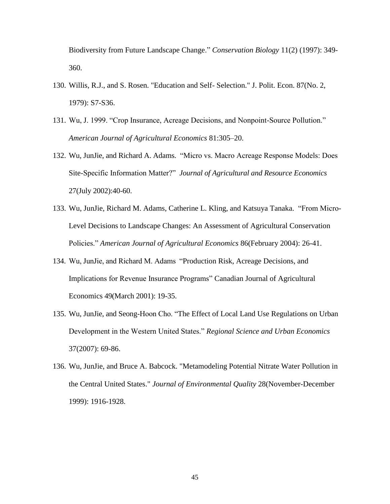Biodiversity from Future Landscape Change." *Conservation Biology* 11(2) (1997): 349- 360.

- 130. Willis, R.J., and S. Rosen. "Education and Self- Selection." J. Polit. Econ. 87(No. 2, 1979): S7-S36.
- 131. Wu, J. 1999. "Crop Insurance, Acreage Decisions, and Nonpoint-Source Pollution." *American Journal of Agricultural Economics* 81:305–20.
- 132. Wu, JunJie, and Richard A. Adams. "Micro vs. Macro Acreage Response Models: Does Site-Specific Information Matter?" *Journal of Agricultural and Resource Economics* 27(July 2002):40-60.
- 133. Wu, JunJie, Richard M. Adams, Catherine L. Kling, and Katsuya Tanaka. "From Micro-Level Decisions to Landscape Changes: An Assessment of Agricultural Conservation Policies." *American Journal of Agricultural Economics* 86(February 2004): 26-41.
- 134. Wu, JunJie, and Richard M. Adams "Production Risk, Acreage Decisions, and Implications for Revenue Insurance Programs" Canadian Journal of Agricultural Economics 49(March 2001): 19-35.
- 135. Wu, JunJie, and Seong-Hoon Cho. "The Effect of Local Land Use Regulations on Urban Development in the Western United States." *Regional Science and Urban Economics*  37(2007): 69-86.
- 136. Wu, JunJie, and Bruce A. Babcock. "Metamodeling Potential Nitrate Water Pollution in the Central United States." *Journal of Environmental Quality* 28(November-December 1999): 1916-1928.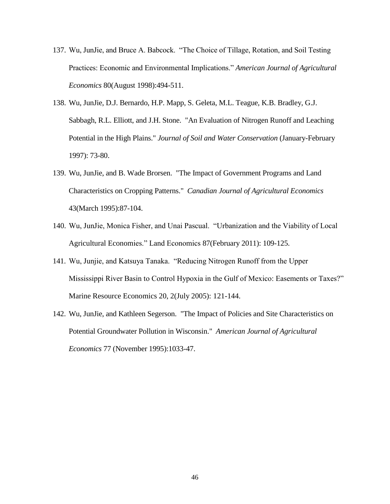- 137. Wu, JunJie, and Bruce A. Babcock. "The Choice of Tillage, Rotation, and Soil Testing Practices: Economic and Environmental Implications." *American Journal of Agricultural Economics* 80(August 1998):494-511.
- 138. Wu, JunJie, D.J. Bernardo, H.P. Mapp, S. Geleta, M.L. Teague, K.B. Bradley, G.J. Sabbagh, R.L. Elliott, and J.H. Stone. "An Evaluation of Nitrogen Runoff and Leaching Potential in the High Plains." *Journal of Soil and Water Conservation* (January-February 1997): 73-80.
- 139. Wu, JunJie, and B. Wade Brorsen. "The Impact of Government Programs and Land Characteristics on Cropping Patterns." *Canadian Journal of Agricultural Economics* 43(March 1995):87-104.
- 140. Wu, JunJie, Monica Fisher, and Unai Pascual. "Urbanization and the Viability of Local Agricultural Economies." Land Economics 87(February 2011): 109-125.
- 141. Wu, Junjie, and Katsuya Tanaka. "Reducing Nitrogen Runoff from the Upper Mississippi River Basin to Control Hypoxia in the Gulf of Mexico: Easements or Taxes?" Marine Resource Economics 20, 2(July 2005): 121-144.
- 142. Wu, JunJie, and Kathleen Segerson. "The Impact of Policies and Site Characteristics on Potential Groundwater Pollution in Wisconsin." *American Journal of Agricultural Economics* 77 (November 1995):1033-47.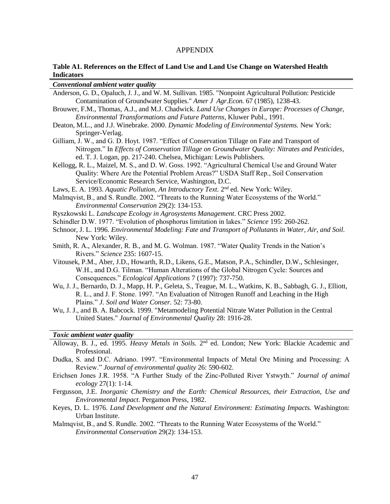# APPENDIX

## <span id="page-46-0"></span>**Table A1. References on the Effect of Land Use and Land Use Change on Watershed Health Indicators**

| Conventional ambient water quality                                                                           |  |  |  |  |
|--------------------------------------------------------------------------------------------------------------|--|--|--|--|
| Anderson, G. D., Opaluch, J. J., and W. M. Sullivan. 1985. "Nonpoint Agricultural Pollution: Pesticide       |  |  |  |  |
| Contamination of Groundwater Supplies." Amer J Agr.Econ. 67 (1985), 1238-43.                                 |  |  |  |  |
| Brouwer, F.M., Thomas, A.J., and M.J. Chadwick. Land Use Changes in Europe: Processes of Change,             |  |  |  |  |
| Environmental Transformations and Future Patterns, Kluwer Publ., 1991.                                       |  |  |  |  |
| Deaton, M.L., and J.J. Winebrake. 2000. Dynamic Modeling of Environmental Systems. New York:                 |  |  |  |  |
| Springer-Verlag.                                                                                             |  |  |  |  |
| Gilliam, J. W., and G. D. Hoyt. 1987. "Effect of Conservation Tillage on Fate and Transport of               |  |  |  |  |
| Nitrogen." In Effects of Conservation Tillage on Groundwater Quality: Nitrates and Pesticides,               |  |  |  |  |
| ed. T. J. Logan, pp. 217-240. Chelsea, Michigan: Lewis Publishers.                                           |  |  |  |  |
| Kellogg, R. L., Maizel, M. S., and D. W. Goss. 1992. "Agricultural Chemical Use and Ground Water             |  |  |  |  |
| Quality: Where Are the Potential Problem Areas?" USDA Staff Rep., Soil Conservation                          |  |  |  |  |
| Service/Economic Research Service, Washington, D.C.                                                          |  |  |  |  |
| Laws, E. A. 1993. Aquatic Pollution, An Introductory Text. 2 <sup>nd</sup> ed. New York: Wiley.              |  |  |  |  |
| Malmqvist, B., and S. Rundle. 2002. "Threats to the Running Water Ecosystems of the World."                  |  |  |  |  |
| Environmental Conservation 29(2): 134-153.                                                                   |  |  |  |  |
| Ryszkowski L. Landscape Ecology in Agrosystems Management. CRC Press 2002.                                   |  |  |  |  |
| Schindler D.W. 1977. "Evolution of phosphorus limitation in lakes." Science 195: 260-262.                    |  |  |  |  |
| Schnoor, J. L. 1996. Environmental Modeling: Fate and Transport of Pollutants in Water, Air, and Soil.       |  |  |  |  |
| New York: Wiley.                                                                                             |  |  |  |  |
| Smith, R. A., Alexander, R. B., and M. G. Wolman. 1987. "Water Quality Trends in the Nation's                |  |  |  |  |
| Rivers." Science 235: 1607-15.                                                                               |  |  |  |  |
| Vitousek, P.M., Aber, J.D., Howarth, R.D., Likens, G.E., Matson, P.A., Schindler, D.W., Schlesinger,         |  |  |  |  |
| W.H., and D.G. Tilman. "Human Alterations of the Global Nitrogen Cycle: Sources and                          |  |  |  |  |
| Consequences." Ecological Applications 7 (1997): 737-750.                                                    |  |  |  |  |
| Wu, J. J., Bernardo, D. J., Mapp, H. P., Geleta, S., Teague, M. L., Watkins, K. B., Sabbagh, G. J., Elliott, |  |  |  |  |
| R. L., and J. F. Stone. 1997. "An Evaluation of Nitrogen Runoff and Leaching in the High                     |  |  |  |  |
| Plains." J. Soil and Water Conser. 52: 73-80.                                                                |  |  |  |  |
| Wu, J. J., and B. A. Babcock. 1999. "Metamodeling Potential Nitrate Water Pollution in the Central           |  |  |  |  |
| United States." Journal of Environmental Quality 28: 1916-28.                                                |  |  |  |  |
|                                                                                                              |  |  |  |  |
| Toxic ambient water quality                                                                                  |  |  |  |  |
| Alloway, B. J., ed. 1995. Heavy Metals in Soils. 2 <sup>nd</sup> ed. London; New York: Blackie Academic and  |  |  |  |  |
| Professional.                                                                                                |  |  |  |  |
| Dudka, S. and D.C. Adriano. 1997. "Environmental Impacts of Metal Ore Mining and Processing: A               |  |  |  |  |
| Review." Journal of environmental quality 26: 590-602.                                                       |  |  |  |  |
| Erichsen Jones J.R. 1958. "A Further Study of the Zinc-Polluted River Ystwyth." Journal of animal            |  |  |  |  |
| ecology $27(1)$ : 1-14.                                                                                      |  |  |  |  |
| Fergusson, J.E. Inorganic Chemistry and the Earth: Chemical Resources, their Extraction, Use and             |  |  |  |  |
| Environmental Impact. Pergamon Press, 1982.                                                                  |  |  |  |  |

Keyes, D. L. 1976. *Land Development and the Natural Environment: Estimating Impacts.* Washington: Urban Institute.

Malmqvist, B., and S. Rundle. 2002. "Threats to the Running Water Ecosystems of the World." *Environmental Conservation* 29(2): 134-153.